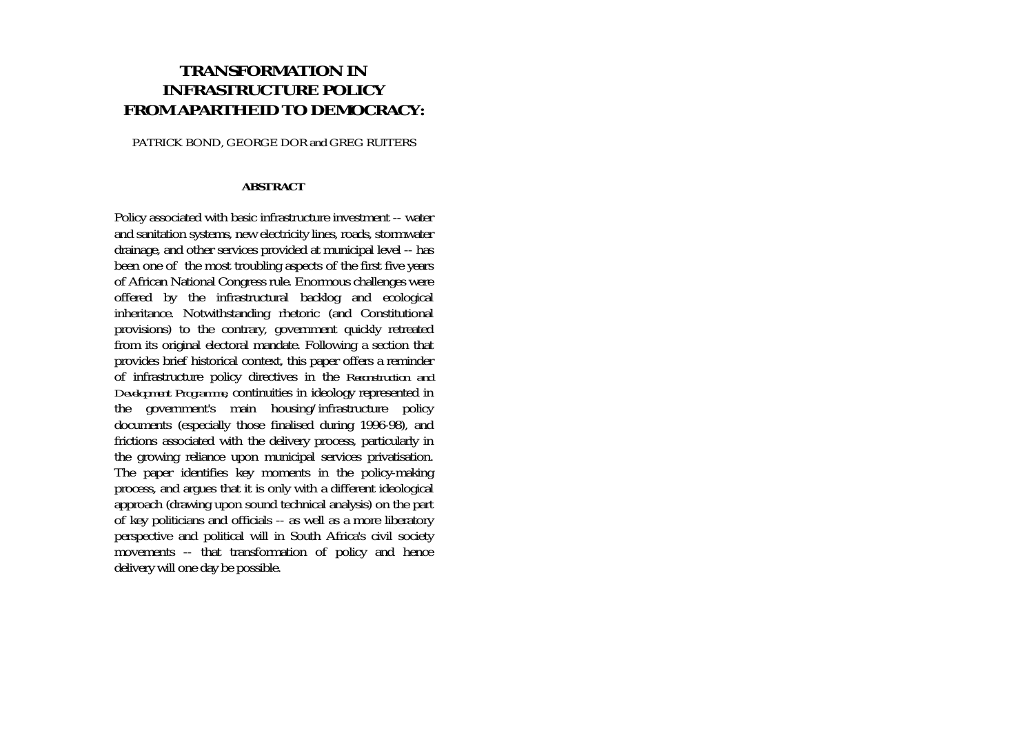# **TRANSFORMATION IN INFRASTRUCTURE POLICY FROM APARTHEID TO DEMOCRACY:**

PATRICK BOND, GEORGE DOR and GREG RUITERS

#### **ABSTRACT**

 Policy associated with basic infrastructure investment -- water and sanitation systems, new electricity lines, roads, stormwater drainage, and other services provided at municipal level -- has been one of the most troubling aspects of the first five years of African National Congress rule. Enormous challenges were offered by the infrastructural backlog and ecological inheritance. Notwithstanding rhetoric (and Constitutional provisions) to the contrary, government quickly retreated from its original electoral mandate. Following a section that provides brief historical context, this paper offers a reminder of infrastructure policy directives in the *Reconstruction and Development Programme*, continuities in ideology represented in the government's main housing/infrastructure policy documents (especially those finalised during 1996-98), and frictions associated with the delivery process, particularly in the growing reliance upon municipal services privatisation. The paper identifies key moments in the policy-making process, and argues that it is only with a different ideological approach (drawing upon sound technical analysis) on the part of key politicians and officials -- as well as a more liberatory perspective and political will in South Africa's civil society movements -- that transformation of policy and hence delivery will one day be possible.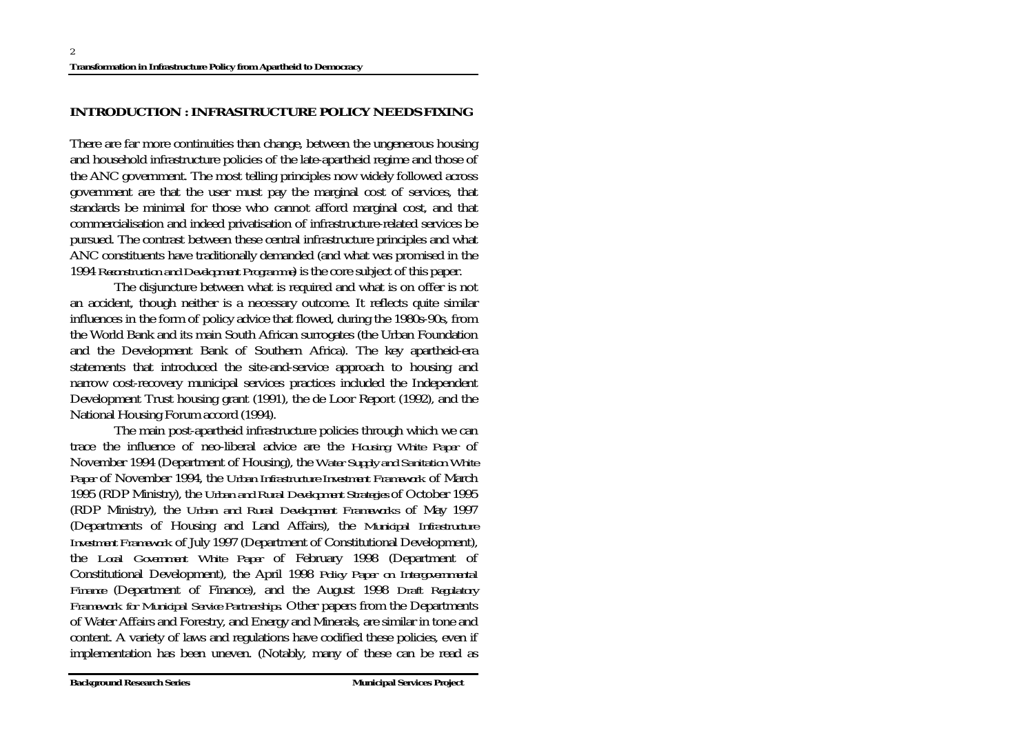#### **INTRODUCTION : INFRASTRUCTURE POLICY NEEDS FIXING**

There are far more continuities than change, between the ungenerous housing and household infrastructure policies of the late-apartheid regime and those of the ANC government. The most telling principles now widely followed across government are that the user must pay the marginal cost of services, that standards be minimal for those who cannot afford marginal cost, and that commercialisation and indeed privatisation of infrastructure-related services be pursued. The contrast between these central infrastructure principles and what ANC constituents have traditionally demanded (and what was promised in the 1994 *Reconstruction and Development Programme*) is the core subject of this paper.

 The disjuncture between what is required and what is on offer is not an accident, though neither is a necessary outcome. It reflects quite similar influences in the form of policy advice that flowed, during the 1980s-90s, from the World Bank and its main South African surrogates (the Urban Foundation and the Development Bank of Southern Africa). The key apartheid-era statements that introduced the site-and-service approach to housing and narrow cost-recovery municipal services practices included the Independent Development Trust housing grant (1991), the de Loor Report (1992), and the National Housing Forum accord (1994).

 The main post-apartheid infrastructure policies through which we can trace the influence of neo-liberal advice are the *Housing White Paper* of November 1994 (Department of Housing), the *Water Supply and Sanitation White Paper* of November 1994, the *Urban Infrastructure Investment Framework* of March 1995 (RDP Ministry), the *Urban and Rural Development Strategies* of October 1995 (RDP Ministry), the *Urban and Rural Development Frameworks* of May 1997 (Departments of Housing and Land Affairs), the *Municipal Infrastructure Investment Framework* of July 1997 (Department of Constitutional Development), the *Local Government White Paper* of February 1998 (Department of Constitutional Development), the April 1998 *Policy Paper on Intergovernmental Finance* (Department of Finance), and the August 1998 *Draft Regulatory Framework for Municipal Service Partnerships*. Other papers from the Departments of Water Affairs and Forestry, and Energy and Minerals, are similar in tone and content. A variety of laws and regulations have codified these policies, even if implementation has been uneven. (Notably, many of these can be read as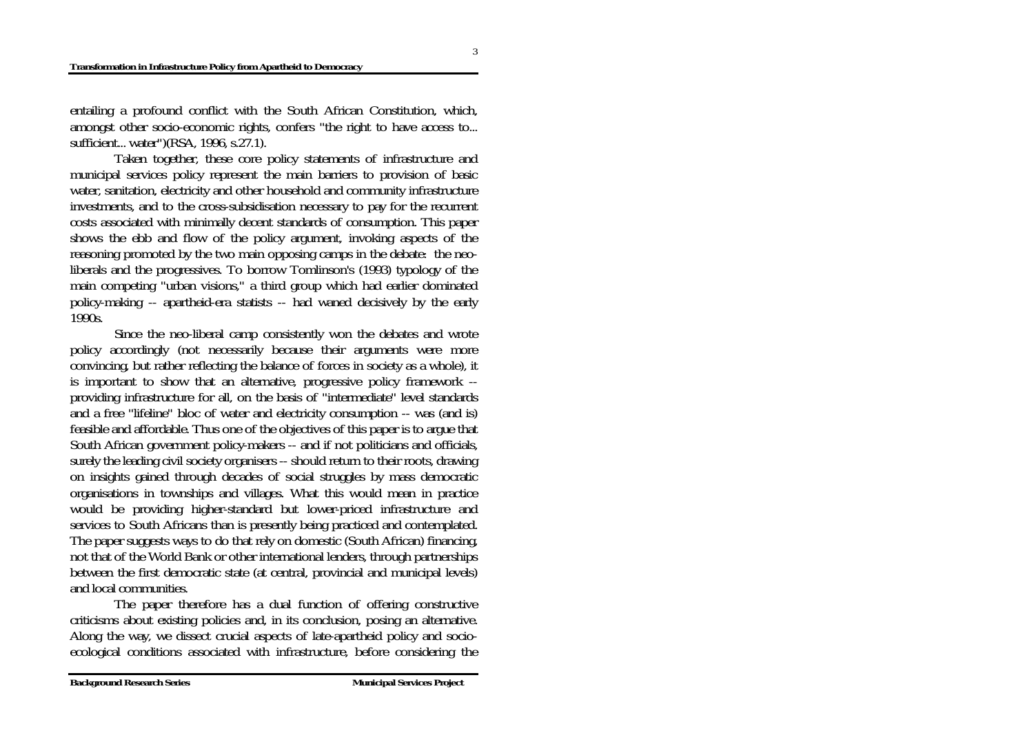entailing a profound conflict with the South African Constitution, which, amongst other socio-economic rights, confers "the right to have access to... sufficient... water")(RSA, 1996, s.27.1).

 Taken together, these core policy statements of infrastructure and municipal services policy represent the main barriers to provision of basic water, sanitation, electricity and other household and community infrastructure investments, and to the cross-subsidisation necessary to pay for the recurrent costs associated with minimally decent standards of consumption. This paper shows the ebb and flow of the policy argument, invoking aspects of the reasoning promoted by the two main opposing camps in the debate: the neoliberals and the progressives. To borrow Tomlinson's (1993) typology of the main competing "urban visions," a third group which had earlier dominated policy-making -- apartheid-era statists -- had waned decisively by the early 1990s.

 Since the neo-liberal camp consistently won the debates and wrote policy accordingly (not necessarily because their arguments were more convincing, but rather reflecting the balance of forces in society as a whole), it is important to show that an alternative, progressive policy framework - providing infrastructure for all, on the basis of "intermediate" level standards and a free "lifeline" bloc of water and electricity consumption -- was (and is) feasible and affordable. Thus one of the objectives of this paper is to argue that South African government policy-makers -- and if not politicians and officials, surely the leading civil society organisers -- should return to their roots, drawing on insights gained through decades of social struggles by mass democratic organisations in townships and villages. What this would mean in practice would be providing higher-standard but lower-priced infrastructure and services to South Africans than is presently being practiced and contemplated. The paper suggests ways to do that rely on domestic (South African) financing, not that of the World Bank or other international lenders, through partnerships between the first democratic state (at central, provincial and municipal levels) and local communities.

 The paper therefore has a dual function of offering constructive criticisms about existing policies and, in its conclusion, posing an alternative. Along the way, we dissect crucial aspects of late-apartheid policy and socioecological conditions associated with infrastructure, before considering the

3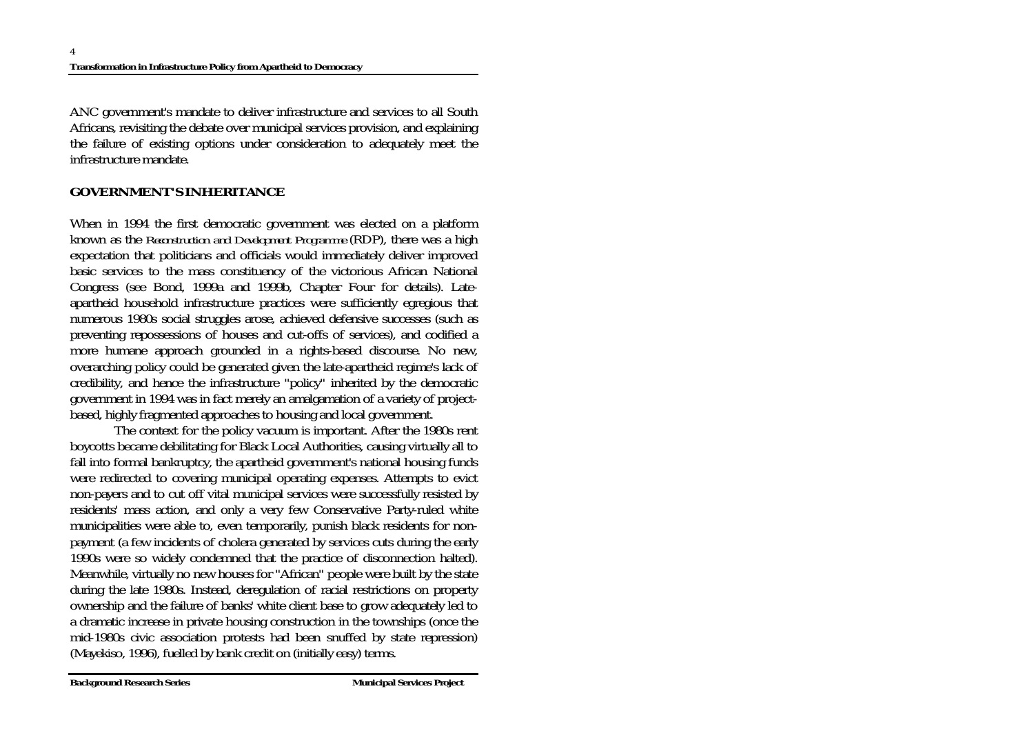ANC government's mandate to deliver infrastructure and services to all South Africans, revisiting the debate over municipal services provision, and explaining the failure of existing options under consideration to adequately meet the infrastructure mandate.

## **GOVERNMENT'S INHERITANCE**

When in 1994 the first democratic government was elected on a platform known as the *Reconstruction and Development Programme* (RDP), there was a high expectation that politicians and officials would immediately deliver improved basic services to the mass constituency of the victorious African National Congress (see Bond, 1999a and 1999b, Chapter Four for details). Lateapartheid household infrastructure practices were sufficiently egregious that numerous 1980s social struggles arose, achieved defensive successes (such as preventing repossessions of houses and cut-offs of services), and codified a more humane approach grounded in a rights-based discourse. No new, overarching policy could be generated given the late-apartheid regime's lack of credibility, and hence the infrastructure "policy" inherited by the democratic government in 1994 was in fact merely an amalgamation of a variety of projectbased, highly fragmented approaches to housing and local government.

 The context for the policy vacuum is important. After the 1980s rent boycotts became debilitating for Black Local Authorities, causing virtually all to fall into formal bankruptcy, the apartheid government's national housing funds were redirected to covering municipal operating expenses. Attempts to evict non-payers and to cut off vital municipal services were successfully resisted by residents' mass action, and only a very few Conservative Party-ruled white municipalities were able to, even temporarily, punish black residents for nonpayment (a few incidents of cholera generated by services cuts during the early 1990s were so widely condemned that the practice of disconnection halted). Meanwhile, virtually no new houses for "African" people were built by the state during the late 1980s. Instead, deregulation of racial restrictions on property ownership and the failure of banks' white client base to grow adequately led to a dramatic increase in private housing construction in the townships (once the mid-1980s civic association protests had been snuffed by state repression) (Mayekiso, 1996), fuelled by bank credit on (initially easy) terms.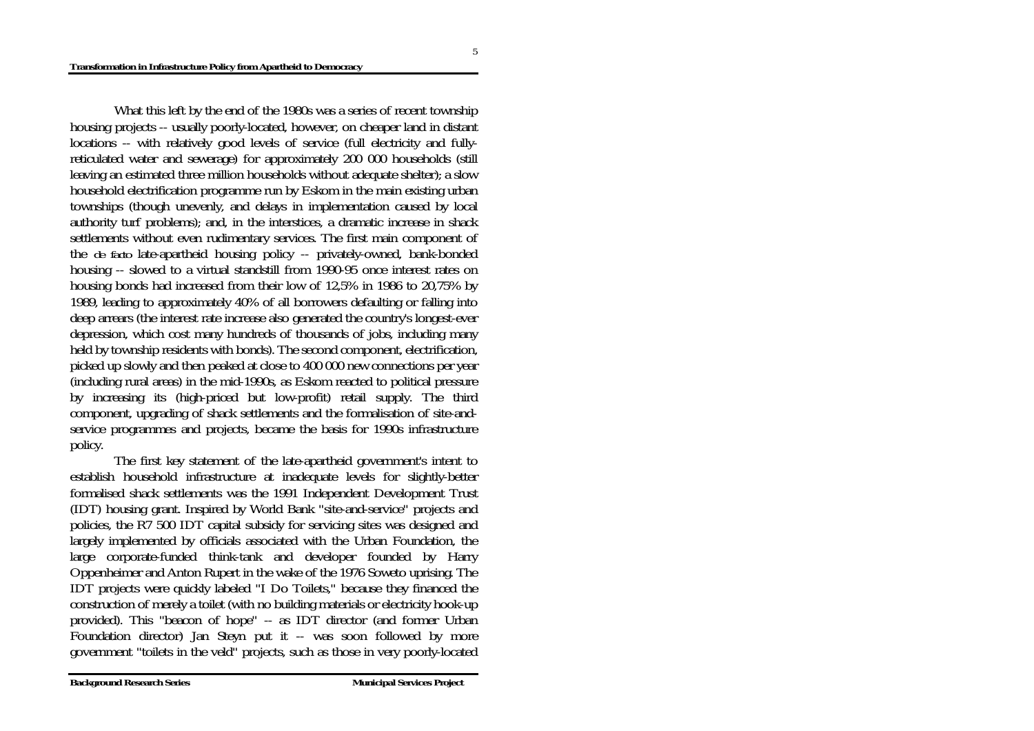What this left by the end of the 1980s was a series of recent township housing projects -- usually poorly-located, however, on cheaper land in distant locations -- with relatively good levels of service (full electricity and fullyreticulated water and sewerage) for approximately 200 000 households (still leaving an estimated three million households without adequate shelter); a slow household electrification programme run by Eskom in the main existing urban townships (though unevenly, and delays in implementation caused by local authority turf problems); and, in the interstices, a dramatic increase in shack settlements without even rudimentary services. The first main component of the *de facto* late-apartheid housing policy -- privately-owned, bank-bonded housing -- slowed to a virtual standstill from 1990-95 once interest rates on housing bonds had increased from their low of 12,5% in 1986 to 20,75% by 1989, leading to approximately 40% of all borrowers defaulting or falling into deep arrears (the interest rate increase also generated the country's longest-ever depression, which cost many hundreds of thousands of jobs, including many held by township residents with bonds). The second component, electrification, picked up slowly and then peaked at close to 400 000 new connections per year (including rural areas) in the mid-1990s, as Eskom reacted to political pressure by increasing its (high-priced but low-profit) retail supply. The third component, upgrading of shack settlements and the formalisation of site-andservice programmes and projects, became the basis for 1990s infrastructure policy.

 The first key statement of the late-apartheid government's intent to establish household infrastructure at inadequate levels for slightly-better formalised shack settlements was the 1991 Independent Development Trust (IDT) housing grant. Inspired by World Bank "site-and-service" projects and policies, the R7 500 IDT capital subsidy for servicing sites was designed and largely implemented by officials associated with the Urban Foundation, the large corporate-funded think-tank and developer founded by Harry Oppenheimer and Anton Rupert in the wake of the 1976 Soweto uprising. The IDT projects were quickly labeled "I Do Toilets," because they financed the construction of merely a toilet (with no building materials or electricity hook-up provided). This "beacon of hope" -- as IDT director (and former Urban Foundation director) Jan Steyn put it -- was soon followed by more government "toilets in the veld" projects, such as those in very poorly-located

5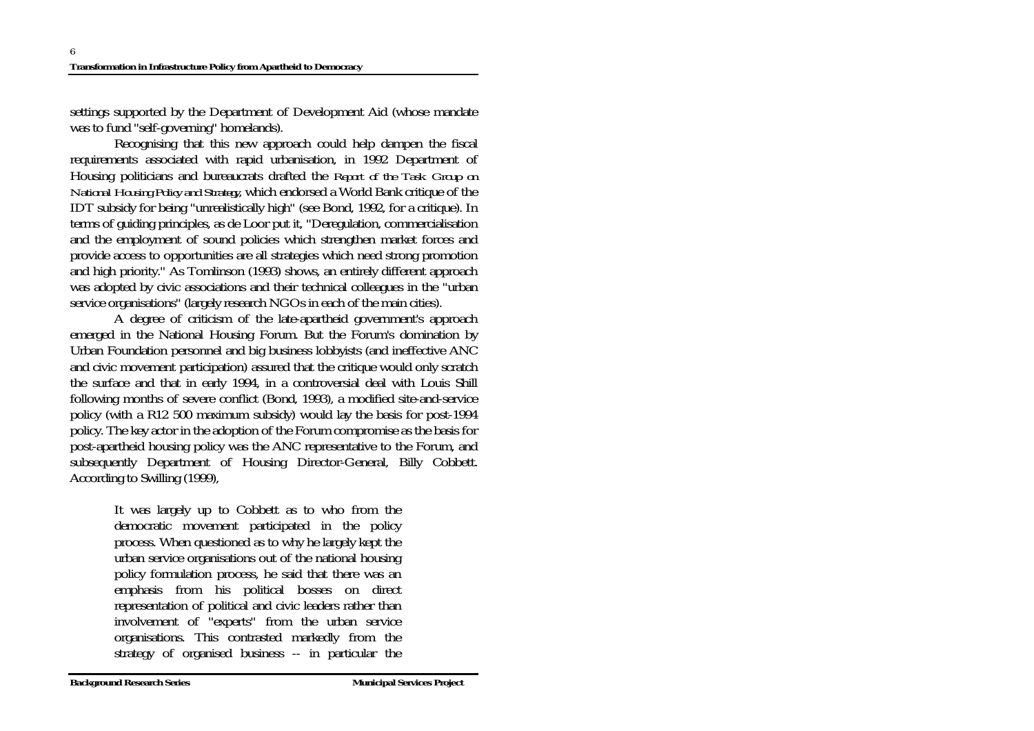settings supported by the Department of Development Aid (whose mandate was to fund "self-governing" homelands).

 Recognising that this new approach could help dampen the fiscal requirements associated with rapid urbanisation, in 1992 Department of Housing politicians and bureaucrats drafted the *Report of the Task Group on National Housing Policy and Strategy*, which endorsed a World Bank critique of the IDT subsidy for being "unrealistically high" (see Bond, 1992, for a critique). In terms of guiding principles, as de Loor put it, "Deregulation, commercialisation and the employment of sound policies which strengthen market forces and provide access to opportunities are all strategies which need strong promotion and high priority." As Tomlinson (1993) shows, an entirely different approach was adopted by civic associations and their technical colleagues in the "urban service organisations" (largely research NGOs in each of the main cities).

 A degree of criticism of the late-apartheid government's approach emerged in the National Housing Forum. But the Forum's domination by Urban Foundation personnel and big business lobbyists (and ineffective ANC and civic movement participation) assured that the critique would only scratch the surface and that in early 1994, in a controversial deal with Louis Shill following months of severe conflict (Bond, 1993), a modified site-and-service policy (with a R12 500 maximum subsidy) would lay the basis for post-1994 policy. The key actor in the adoption of the Forum compromise as the basis for post-apartheid housing policy was the ANC representative to the Forum, and subsequently Department of Housing Director-General, Billy Cobbett. According to Swilling (1999),

> It was largely up to Cobbett as to who from the democratic movement participated in the policy process. When questioned as to why he largely kept the urban service organisations out of the national housing policy formulation process, he said that there was an emphasis from his political bosses on direct representation of political and civic leaders rather than involvement of "experts" from the urban service organisations. This contrasted markedly from the strategy of organised business -- in particular the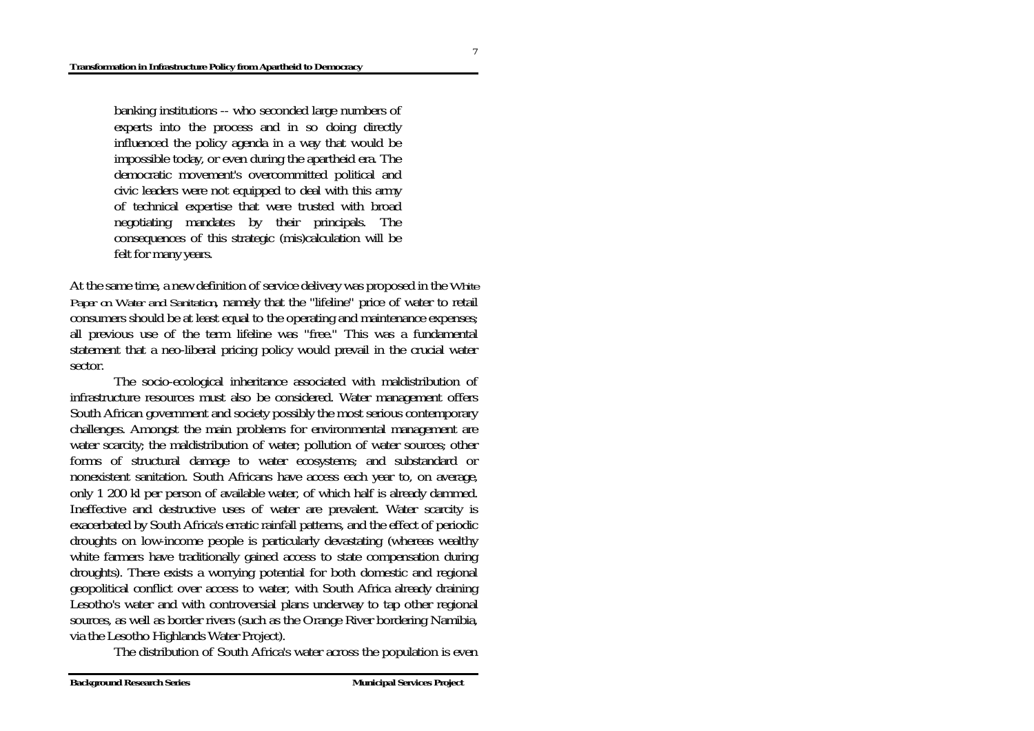banking institutions -- who seconded large numbers of experts into the process and in so doing directly influenced the policy agenda in a way that would be impossible today, or even during the apartheid era. The democratic movement's overcommitted political and civic leaders were not equipped to deal with this army of technical expertise that were trusted with broad negotiating mandates by their principals. The consequences of this strategic (mis)calculation will be felt for many years.

At the same time, a new definition of service delivery was proposed in the *White Paper on Water and Sanitation*, namely that the "lifeline" price of water to retail consumers should be at least equal to the operating and maintenance expenses; all previous use of the term lifeline was "free." This was a fundamental statement that a neo-liberal pricing policy would prevail in the crucial water sector.

 The socio-ecological inheritance associated with maldistribution of infrastructure resources must also be considered. Water management offers South African government and society possibly the most serious contemporary challenges. Amongst the main problems for environmental management are water scarcity; the maldistribution of water; pollution of water sources; other forms of structural damage to water ecosystems; and substandard or nonexistent sanitation. South Africans have access each year to, on average, only 1 200 kl per person of available water, of which half is already dammed. Ineffective and destructive uses of water are prevalent. Water scarcity is exacerbated by South Africa's erratic rainfall patterns, and the effect of periodic droughts on low-income people is particularly devastating (whereas wealthy white farmers have traditionally gained access to state compensation during droughts). There exists a worrying potential for both domestic and regional geopolitical conflict over access to water, with South Africa already draining Lesotho's water and with controversial plans underway to tap other regional sources, as well as border rivers (such as the Orange River bordering Namibia, via the Lesotho Highlands Water Project).

The distribution of South Africa's water across the population is even

7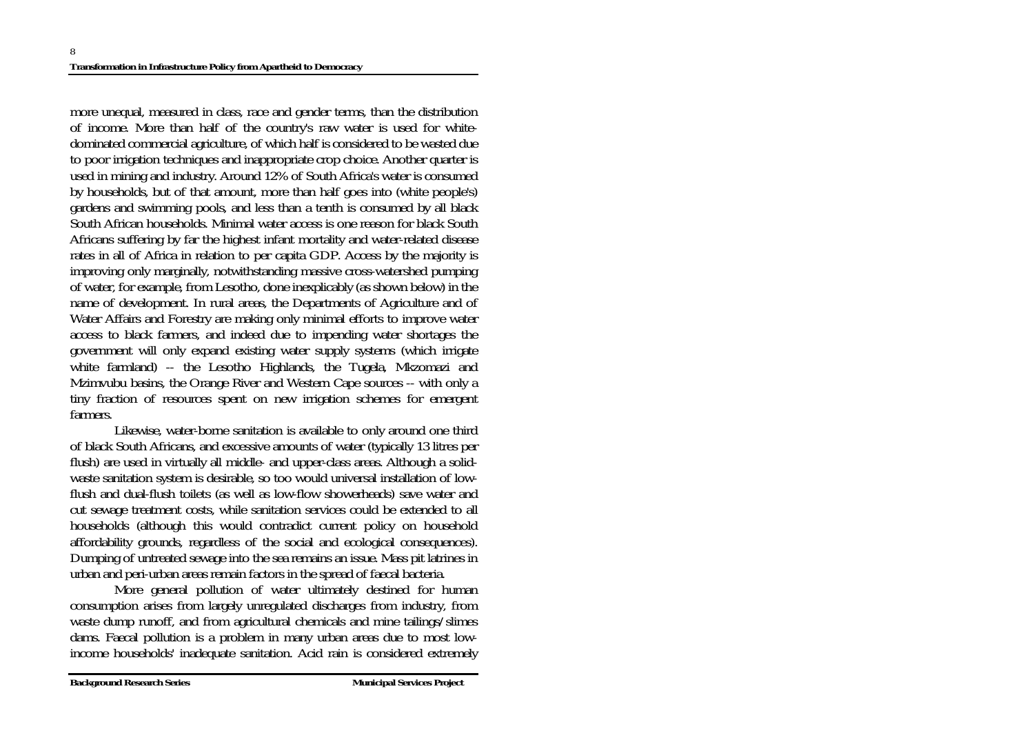more unequal, measured in class, race and gender terms, than the distribution of income. More than half of the country's raw water is used for whitedominated commercial agriculture, of which half is considered to be wasted due to poor irrigation techniques and inappropriate crop choice. Another quarter is used in mining and industry. Around 12% of South Africa's water is consumed by households, but of that amount, more than half goes into (white people's) gardens and swimming pools, and less than a tenth is consumed by all black South African households. Minimal water access is one reason for black South Africans suffering by far the highest infant mortality and water-related disease rates in all of Africa in relation to per capita GDP. Access by the majority is improving only marginally, notwithstanding massive cross-watershed pumping of water, for example, from Lesotho, done inexplicably (as shown below) in the name of development. In rural areas, the Departments of Agriculture and of Water Affairs and Forestry are making only minimal efforts to improve water access to black farmers, and indeed due to impending water shortages the government will only expand existing water supply systems (which irrigate white farmland) -- the Lesotho Highlands, the Tugela, Mkzomazi and Mzimvubu basins, the Orange River and Western Cape sources -- with only a tiny fraction of resources spent on new irrigation schemes for emergent farmers.

 Likewise, water-borne sanitation is available to only around one third of black South Africans, and excessive amounts of water (typically 13 litres per flush) are used in virtually all middle- and upper-class areas. Although a solidwaste sanitation system is desirable, so too would universal installation of lowflush and dual-flush toilets (as well as low-flow showerheads) save water and cut sewage treatment costs, while sanitation services could be extended to all households (although this would contradict current policy on household affordability grounds, regardless of the social and ecological consequences). Dumping of untreated sewage into the sea remains an issue. Mass pit latrines in urban and peri-urban areas remain factors in the spread of faecal bacteria.

 More general pollution of water ultimately destined for human consumption arises from largely unregulated discharges from industry, from waste dump runoff, and from agricultural chemicals and mine tailings/slimes dams. Faecal pollution is a problem in many urban areas due to most lowincome households' inadequate sanitation. Acid rain is considered extremely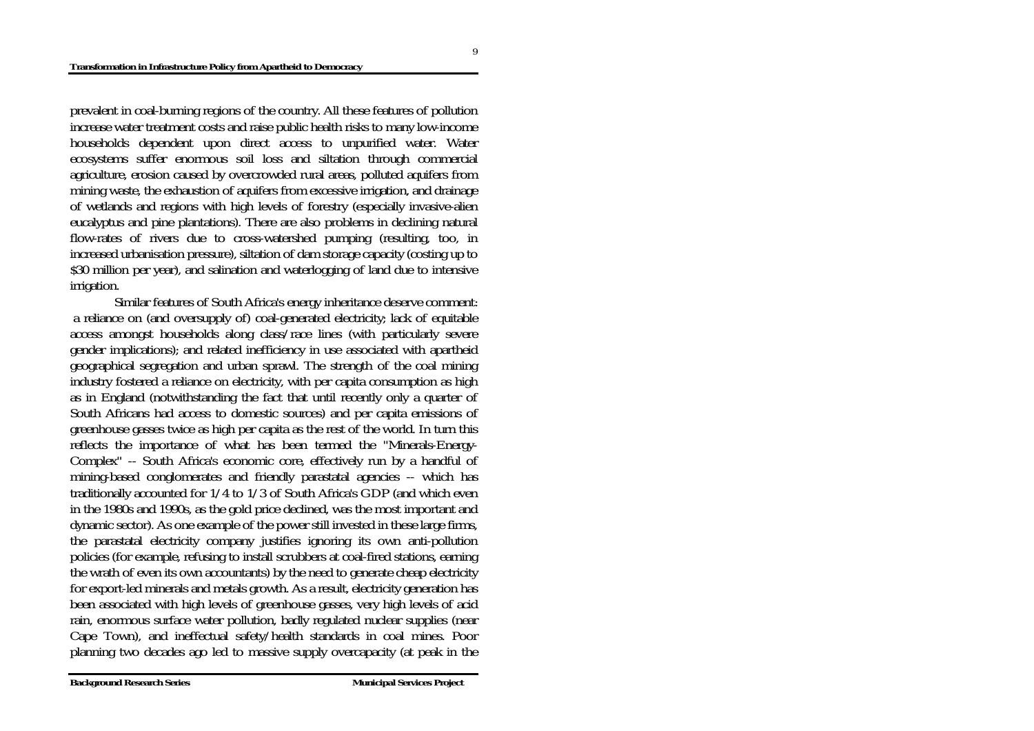prevalent in coal-burning regions of the country. All these features of pollution increase water treatment costs and raise public health risks to many low-income households dependent upon direct access to unpurified water. Water ecosystems suffer enormous soil loss and siltation through commercial agriculture, erosion caused by overcrowded rural areas, polluted aquifers from mining waste, the exhaustion of aquifers from excessive irrigation, and drainage of wetlands and regions with high levels of forestry (especially invasive-alien eucalyptus and pine plantations). There are also problems in declining natural flow-rates of rivers due to cross-watershed pumping (resulting, too, in increased urbanisation pressure), siltation of dam storage capacity (costing up to \$30 million per year), and salination and waterlogging of land due to intensive irrigation.

 Similar features of South Africa's energy inheritance deserve comment: a reliance on (and oversupply of) coal-generated electricity; lack of equitable access amongst households along class/race lines (with particularly severe gender implications); and related inefficiency in use associated with apartheid geographical segregation and urban sprawl. The strength of the coal mining industry fostered a reliance on electricity, with per capita consumption as high as in England (notwithstanding the fact that until recently only a quarter of South Africans had access to domestic sources) and per capita emissions of greenhouse gasses twice as high per capita as the rest of the world. In turn this reflects the importance of what has been termed the "Minerals-Energy-Complex" -- South Africa's economic core, effectively run by a handful of mining-based conglomerates and friendly parastatal agencies -- which has traditionally accounted for 1/4 to 1/3 of South Africa's GDP (and which even in the 1980s and 1990s, as the gold price declined, was the most important and dynamic sector). As one example of the power still invested in these large firms, the parastatal electricity company justifies ignoring its own anti-pollution policies (for example, refusing to install scrubbers at coal-fired stations, earning the wrath of even its own accountants) by the need to generate cheap electricity for export-led minerals and metals growth. As a result, electricity generation has been associated with high levels of greenhouse gasses, very high levels of acid rain, enormous surface water pollution, badly regulated nuclear supplies (near Cape Town), and ineffectual safety/health standards in coal mines. Poor planning two decades ago led to massive supply overcapacity (at peak in the

9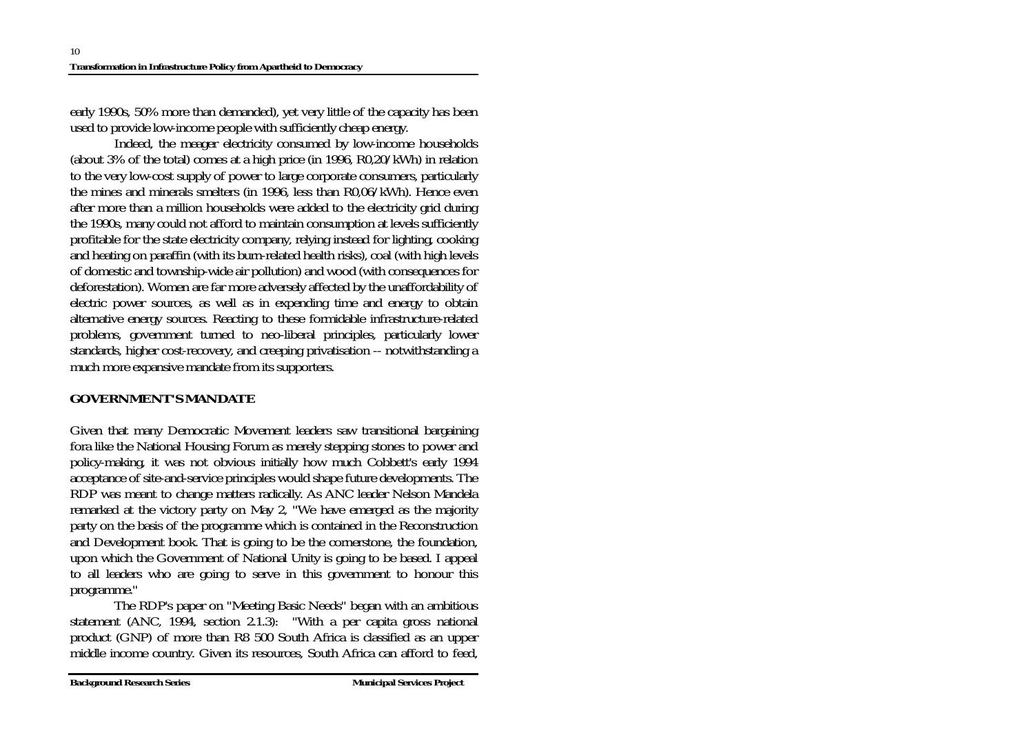early 1990s, 50% more than demanded), yet very little of the capacity has been used to provide low-income people with sufficiently cheap energy.

 Indeed, the meager electricity consumed by low-income households (about 3% of the total) comes at a high price (in 1996, R0,20/kWh) in relation to the very low-cost supply of power to large corporate consumers, particularly the mines and minerals smelters (in 1996, less than R0,06/kWh). Hence even after more than a million households were added to the electricity grid during the 1990s, many could not afford to maintain consumption at levels sufficiently profitable for the state electricity company, relying instead for lighting, cooking and heating on paraffin (with its burn-related health risks), coal (with high levels of domestic and township-wide air pollution) and wood (with consequences for deforestation). Women are far more adversely affected by the unaffordability of electric power sources, as well as in expending time and energy to obtain alternative energy sources. Reacting to these formidable infrastructure-related problems, government turned to neo-liberal principles, particularly lower standards, higher cost-recovery, and creeping privatisation -- notwithstanding a much more expansive mandate from its supporters.

#### **GOVERNMENT'S MANDATE**

Given that many Democratic Movement leaders saw transitional bargaining fora like the National Housing Forum as merely stepping stones to power and policy-making, it was not obvious initially how much Cobbett's early 1994 acceptance of site-and-service principles would shape future developments. The RDP was meant to change matters radically. As ANC leader Nelson Mandela remarked at the victory party on May 2, "We have emerged as the majority party on the basis of the programme which is contained in the Reconstruction and Development book. That is going to be the cornerstone, the foundation, upon which the Government of National Unity is going to be based. I appeal to all leaders who are going to serve in this government to honour this programme."

 The RDP's paper on "Meeting Basic Needs" began with an ambitious statement (ANC, 1994, section 2.1.3): "With a per capita gross national product (GNP) of more than R8 500 South Africa is classified as an upper middle income country. Given its resources, South Africa can afford to feed,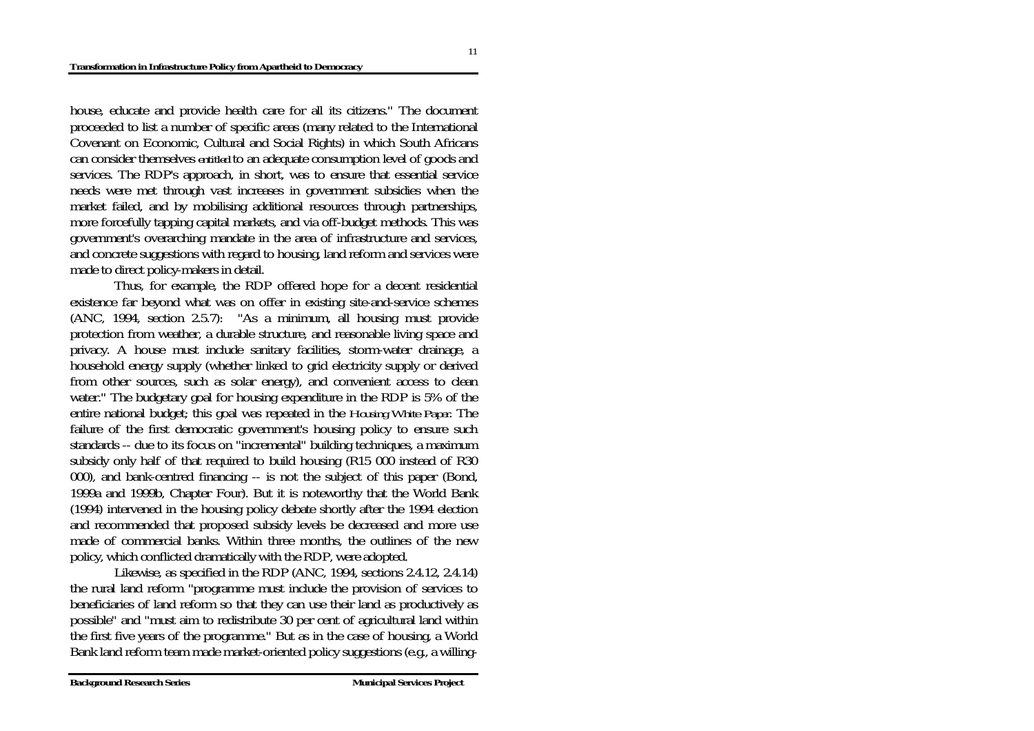house, educate and provide health care for all its citizens." The document proceeded to list a number of specific areas (many related to the International Covenant on Economic, Cultural and Social Rights) in which South Africans can consider themselves *entitled* to an adequate consumption level of goods and services. The RDP's approach, in short, was to ensure that essential service needs were met through vast increases in government subsidies when the market failed, and by mobilising additional resources through partnerships, more forcefully tapping capital markets, and via off-budget methods. This was government's overarching mandate in the area of infrastructure and services, and concrete suggestions with regard to housing, land reform and services were made to direct policy-makers in detail.

 Thus, for example, the RDP offered hope for a decent residential existence far beyond what was on offer in existing site-and-service schemes (ANC, 1994, section 2.5.7): "As a minimum, all housing must provide protection from weather, a durable structure, and reasonable living space and privacy. A house must include sanitary facilities, storm-water drainage, a household energy supply (whether linked to grid electricity supply or derived from other sources, such as solar energy), and convenient access to clean water." The budgetary goal for housing expenditure in the RDP is 5% of the entire national budget; this goal was repeated in the *Housing White Paper*. The failure of the first democratic government's housing policy to ensure such standards -- due to its focus on "incremental" building techniques, a maximum subsidy only half of that required to build housing (R15 000 instead of R30 000), and bank-centred financing -- is not the subject of this paper (Bond, 1999a and 1999b, Chapter Four). But it is noteworthy that the World Bank (1994) intervened in the housing policy debate shortly after the 1994 election and recommended that proposed subsidy levels be decreased and more use made of commercial banks. Within three months, the outlines of the new policy, which conflicted dramatically with the RDP, were adopted.

 Likewise, as specified in the RDP (ANC, 1994, sections 2.4.12, 2.4.14) the rural land reform "programme must include the provision of services to beneficiaries of land reform so that they can use their land as productively as possible" and "must aim to redistribute 30 per cent of agricultural land within the first five years of the programme." But as in the case of housing, a World Bank land reform team made market-oriented policy suggestions (e.g., a willing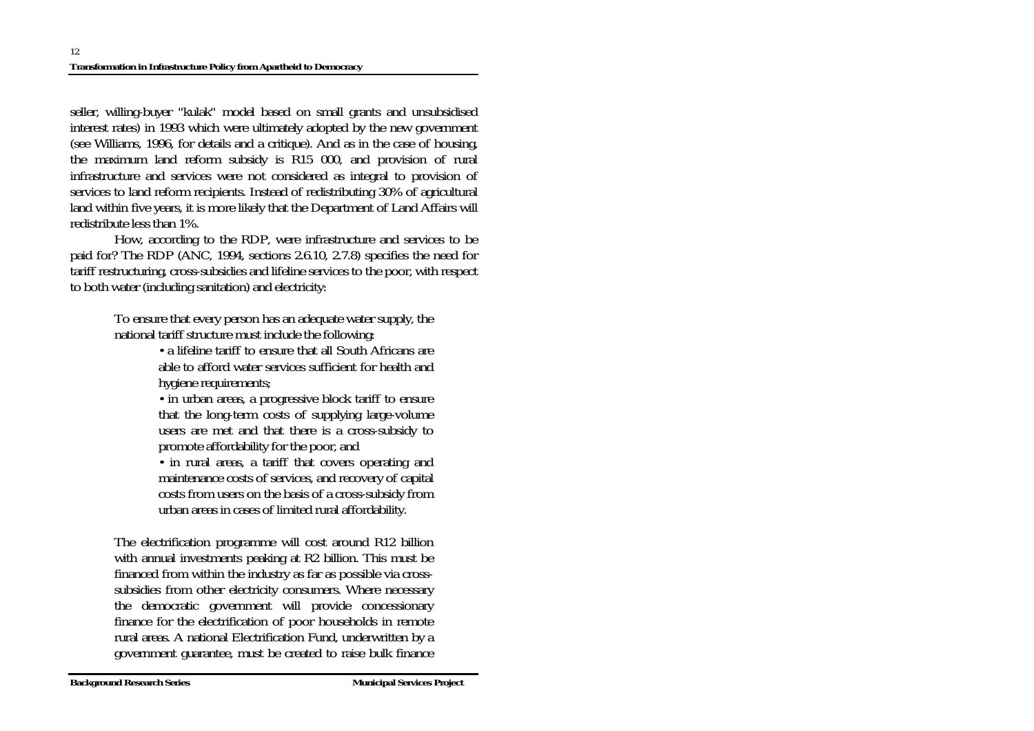seller, willing-buyer "kulak" model based on small grants and unsubsidised interest rates) in 1993 which were ultimately adopted by the new government (see Williams, 1996, for details and a critique). And as in the case of housing, the maximum land reform subsidy is R15 000, and provision of rural infrastructure and services were not considered as integral to provision of services to land reform recipients. Instead of redistributing 30% of agricultural land within five years, it is more likely that the Department of Land Affairs will redistribute less than 1%.

 How, according to the RDP, were infrastructure and services to be paid for? The RDP (ANC, 1994, sections 2.6.10, 2.7.8) specifies the need for tariff restructuring, cross-subsidies and lifeline services to the poor, with respect to both water (including sanitation) and electricity:

> To ensure that every person has an adequate water supply, the national tariff structure must include the following:

> > • a lifeline tariff to ensure that all South Africans are able to afford water services sufficient for health and hygiene requirements;

> > • in urban areas, a progressive block tariff to ensure that the long-term costs of supplying large-volume users are met and that there is a cross-subsidy to promote affordability for the poor, and

> > • in rural areas, a tariff that covers operating and maintenance costs of services, and recovery of capital costs from users on the basis of a cross-subsidy from urban areas in cases of limited rural affordability.

 The electrification programme will cost around R12 billion with annual investments peaking at R2 billion. This must be financed from within the industry as far as possible via crosssubsidies from other electricity consumers. Where necessary the democratic government will provide concessionary finance for the electrification of poor households in remote rural areas. A national Electrification Fund, underwritten by a government guarantee, must be created to raise bulk finance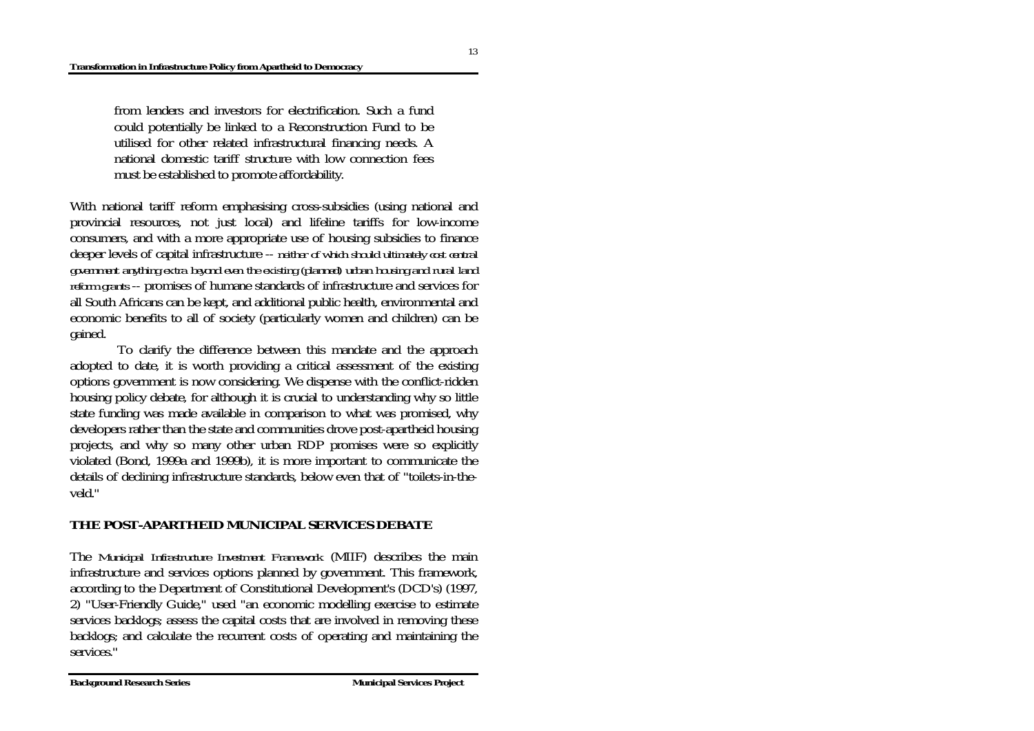from lenders and investors for electrification. Such a fund could potentially be linked to a Reconstruction Fund to be utilised for other related infrastructural financing needs. A national domestic tariff structure with low connection fees must be established to promote affordability.

With national tariff reform emphasising cross-subsidies (using national and provincial resources, not just local) and lifeline tariffs for low-income consumers, and with a more appropriate use of housing subsidies to finance deeper levels of capital infrastructure -- *neither of which should ultimately cost central government anything extra beyond even the existing (planned) urban housing and rural land reform grants* -- promises of humane standards of infrastructure and services for all South Africans can be kept, and additional public health, environmental and economic benefits to all of society (particularly women and children) can be gained.

 To clarify the difference between this mandate and the approach adopted to date, it is worth providing a critical assessment of the existing options government is now considering. We dispense with the conflict-ridden housing policy debate, for although it is crucial to understanding why so little state funding was made available in comparison to what was promised, why developers rather than the state and communities drove post-apartheid housing projects, and why so many other urban RDP promises were so explicitly violated (Bond, 1999a and 1999b), it is more important to communicate the details of declining infrastructure standards, below even that of "toilets-in-theveld."

### **THE POST-APARTHEID MUNICIPAL SERVICES DEBATE**

The *Municipal Infrastructure Investment Framework* (MIIF) describes the main infrastructure and services options planned by government. This framework, according to the Department of Constitutional Development's (DCD's) (1997, 2) "User-Friendly Guide," used "an economic modelling exercise to estimate services backlogs; assess the capital costs that are involved in removing these backlogs; and calculate the recurrent costs of operating and maintaining the services."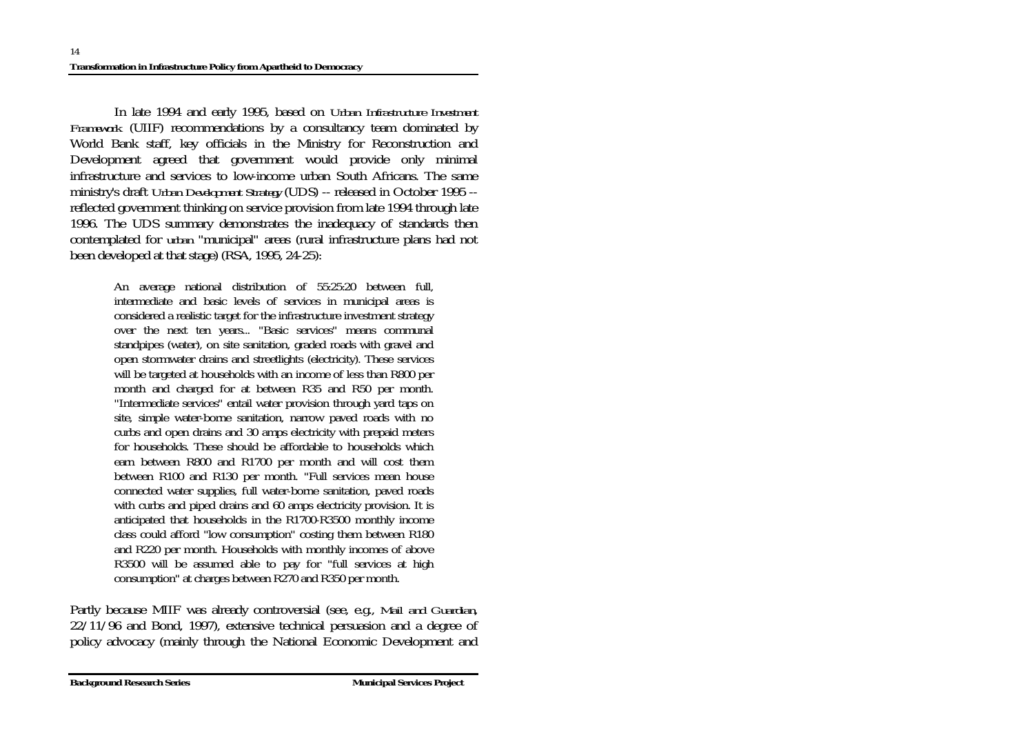In late 1994 and early 1995, based on *Urban Infrastructure Investment Framework* (UIIF) recommendations by a consultancy team dominated by World Bank staff, key officials in the Ministry for Reconstruction and Development agreed that government would provide only minimal infrastructure and services to low-income urban South Africans. The same ministry's draft *Urban Development Strategy* (UDS) -- released in October 1995 - reflected government thinking on service provision from late 1994 through late 1996. The UDS summary demonstrates the inadequacy of standards then contemplated for *urban* "municipal" areas (rural infrastructure plans had not been developed at that stage) (RSA, 1995, 24-25):

> An average national distribution of 55:25:20 between full, intermediate and basic levels of services in municipal areas is considered a realistic target for the infrastructure investment strategy over the next ten years... "Basic services" means communal standpipes (water), on site sanitation, graded roads with gravel and open stormwater drains and streetlights (electricity). These services will be targeted at households with an income of less than R800 per month and charged for at between R35 and R50 per month. "Intermediate services" entail water provision through yard taps on site, simple water-borne sanitation, narrow paved roads with no curbs and open drains and 30 amps electricity with prepaid meters for households. These should be affordable to households which earn between R800 and R1700 per month and will cost them between R100 and R130 per month. "Full services mean house connected water supplies, full water-borne sanitation, paved roads with curbs and piped drains and 60 amps electricity provision. It is anticipated that households in the R1700-R3500 monthly income class could afford "low consumption" costing them between R180 and R220 per month. Households with monthly incomes of above R3500 will be assumed able to pay for "full services at high consumption" at charges between R270 and R350 per month.

Partly because MIIF was already controversial (see, e.g., *Mail and Guardian*, 22/11/96 and Bond, 1997), extensive technical persuasion and a degree of policy advocacy (mainly through the National Economic Development and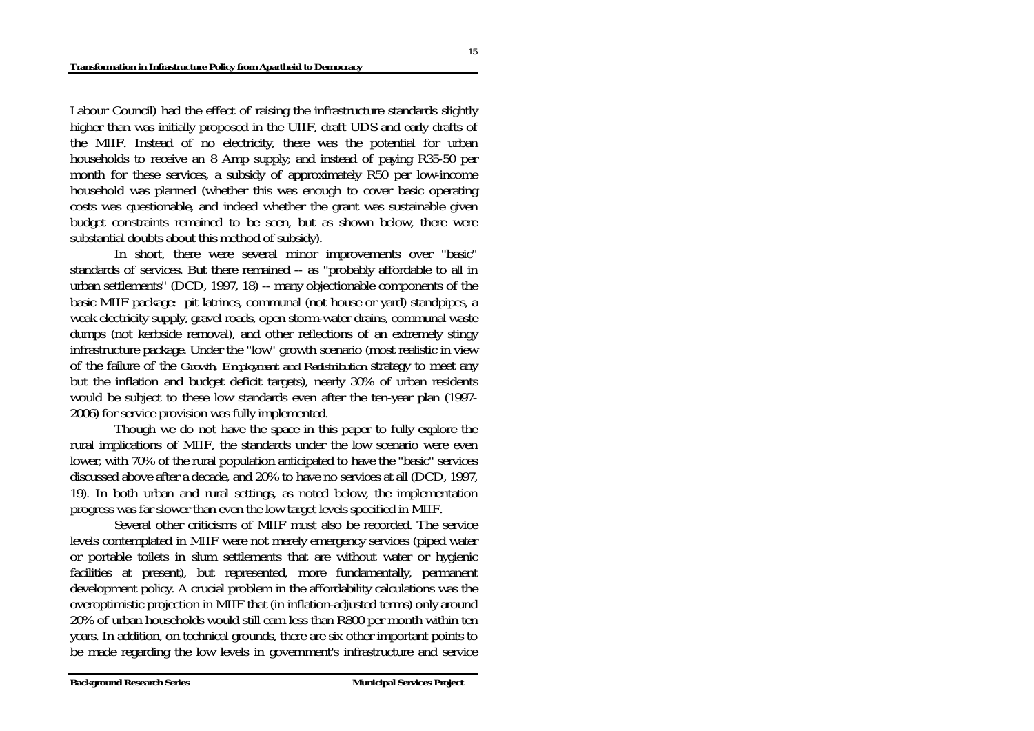Labour Council) had the effect of raising the infrastructure standards slightly higher than was initially proposed in the UIIF, draft UDS and early drafts of the MIIF. Instead of no electricity, there was the potential for urban households to receive an 8 Amp supply; and instead of paying R35-50 per month for these services, a subsidy of approximately R50 per low-income household was planned (whether this was enough to cover basic operating costs was questionable, and indeed whether the grant was sustainable given budget constraints remained to be seen, but as shown below, there were substantial doubts about this method of subsidy).

 In short, there were several minor improvements over "basic" standards of services. But there remained -- as "probably affordable to all in urban settlements" (DCD, 1997, 18) -- many objectionable components of the basic MIIF package: pit latrines, communal (not house or yard) standpipes, a weak electricity supply, gravel roads, open storm-water drains, communal waste dumps (not kerbside removal), and other reflections of an extremely stingy infrastructure package. Under the "low" growth scenario (most realistic in view of the failure of the *Growth, Employment and Redistribution* strategy to meet any but the inflation and budget deficit targets), nearly 30% of urban residents would be subject to these low standards even after the ten-year plan (1997- 2006) for service provision was fully implemented.

 Though we do not have the space in this paper to fully explore the rural implications of MIIF, the standards under the low scenario were even lower, with 70% of the rural population anticipated to have the "basic" services discussed above after a decade, and 20% to have no services at all (DCD, 1997, 19). In both urban and rural settings, as noted below, the implementation progress was far slower than even the low target levels specified in MIIF.

 Several other criticisms of MIIF must also be recorded. The service levels contemplated in MIIF were not merely emergency services (piped water or portable toilets in slum settlements that are without water or hygienic facilities at present), but represented, more fundamentally, permanent development policy. A crucial problem in the affordability calculations was the overoptimistic projection in MIIF that (in inflation-adjusted terms) only around 20% of urban households would still earn less than R800 per month within ten years. In addition, on technical grounds, there are six other important points to be made regarding the low levels in government's infrastructure and service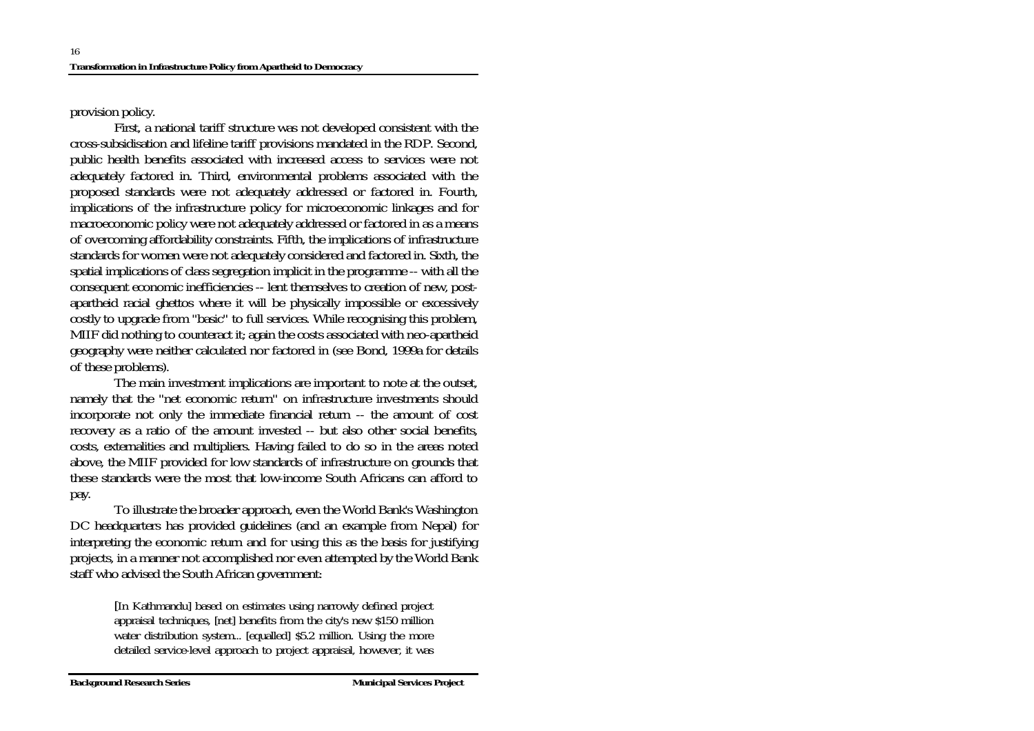provision policy.

 First, a national tariff structure was not developed consistent with the cross-subsidisation and lifeline tariff provisions mandated in the RDP. Second, public health benefits associated with increased access to services were not adequately factored in. Third, environmental problems associated with the proposed standards were not adequately addressed or factored in. Fourth, implications of the infrastructure policy for microeconomic linkages and for macroeconomic policy were not adequately addressed or factored in as a means of overcoming affordability constraints. Fifth, the implications of infrastructure standards for women were not adequately considered and factored in. Sixth, the spatial implications of class segregation implicit in the programme -- with all the consequent economic inefficiencies -- lent themselves to creation of new, postapartheid racial ghettos where it will be physically impossible or excessively costly to upgrade from "basic" to full services. While recognising this problem, MIIF did nothing to counteract it; again the costs associated with neo-apartheid geography were neither calculated nor factored in (see Bond, 1999a for details of these problems).

 The main investment implications are important to note at the outset, namely that the "net economic return" on infrastructure investments should incorporate not only the immediate financial return -- the amount of cost recovery as a ratio of the amount invested -- but also other social benefits, costs, externalities and multipliers. Having failed to do so in the areas noted above, the MIIF provided for low standards of infrastructure on grounds that these standards were the most that low-income South Africans can afford to pay.

 To illustrate the broader approach, even the World Bank's Washington DC headquarters has provided guidelines (and an example from Nepal) for interpreting the economic return and for using this as the basis for justifying projects, in a manner not accomplished nor even attempted by the World Bank staff who advised the South African government:

> [In Kathmandu] based on estimates using narrowly defined project appraisal techniques, [net] benefits from the city's new \$150 million water distribution system... [equalled] \$5.2 million. Using the more detailed service-level approach to project appraisal, however, it was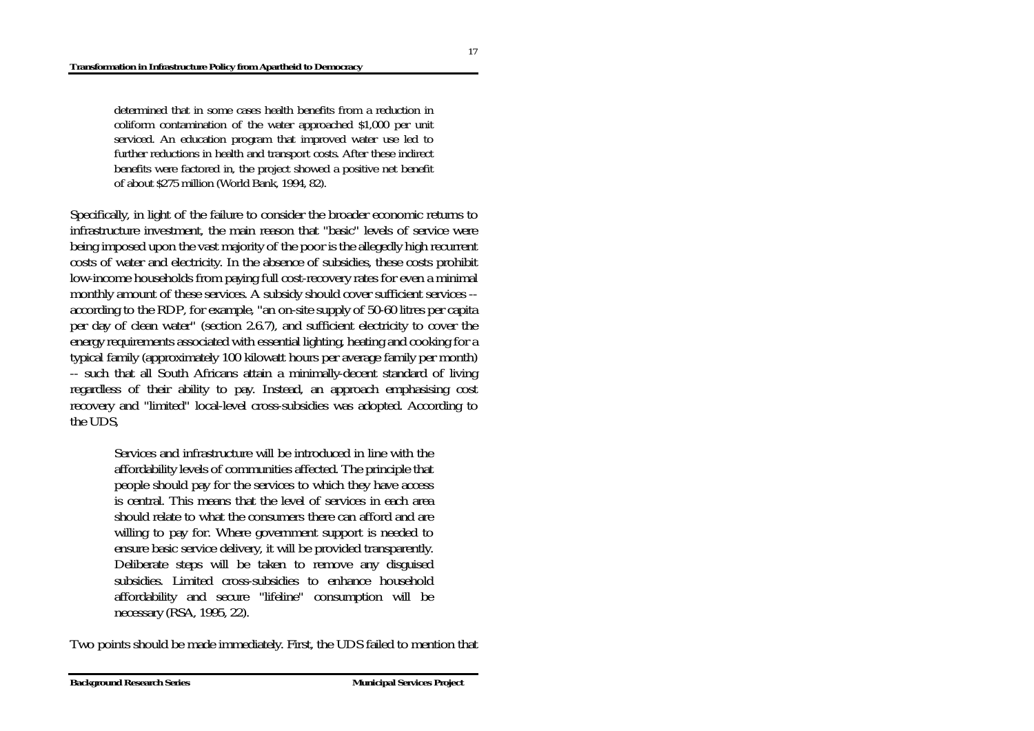determined that in some cases health benefits from a reduction in coliform contamination of the water approached \$1,000 per unit serviced. An education program that improved water use led to further reductions in health and transport costs. After these indirect benefits were factored in, the project showed a positive net benefit of about \$275 million (World Bank, 1994, 82).

Specifically, in light of the failure to consider the broader economic returns to infrastructure investment, the main reason that "basic" levels of service were being imposed upon the vast majority of the poor is the allegedly high recurrent costs of water and electricity. In the absence of subsidies, these costs prohibit low-income households from paying full cost-recovery rates for even a minimal monthly amount of these services. A subsidy should cover sufficient services - according to the RDP, for example, "an on-site supply of 50-60 litres per capita per day of clean water" (section 2.6.7), and sufficient electricity to cover the energy requirements associated with essential lighting, heating and cooking for a typical family (approximately 100 kilowatt hours per average family per month) -- such that all South Africans attain a minimally-decent standard of living regardless of their ability to pay. Instead, an approach emphasising cost recovery and "limited" local-level cross-subsidies was adopted. According to the UDS,

> Services and infrastructure will be introduced in line with the affordability levels of communities affected. The principle that people should pay for the services to which they have access is central. This means that the level of services in each area should relate to what the consumers there can afford and are willing to pay for. Where government support is needed to ensure basic service delivery, it will be provided transparently. Deliberate steps will be taken to remove any disguised subsidies. Limited cross-subsidies to enhance household affordability and secure "lifeline" consumption will be necessary (RSA, 1995, 22).

Two points should be made immediately. First, the UDS failed to mention that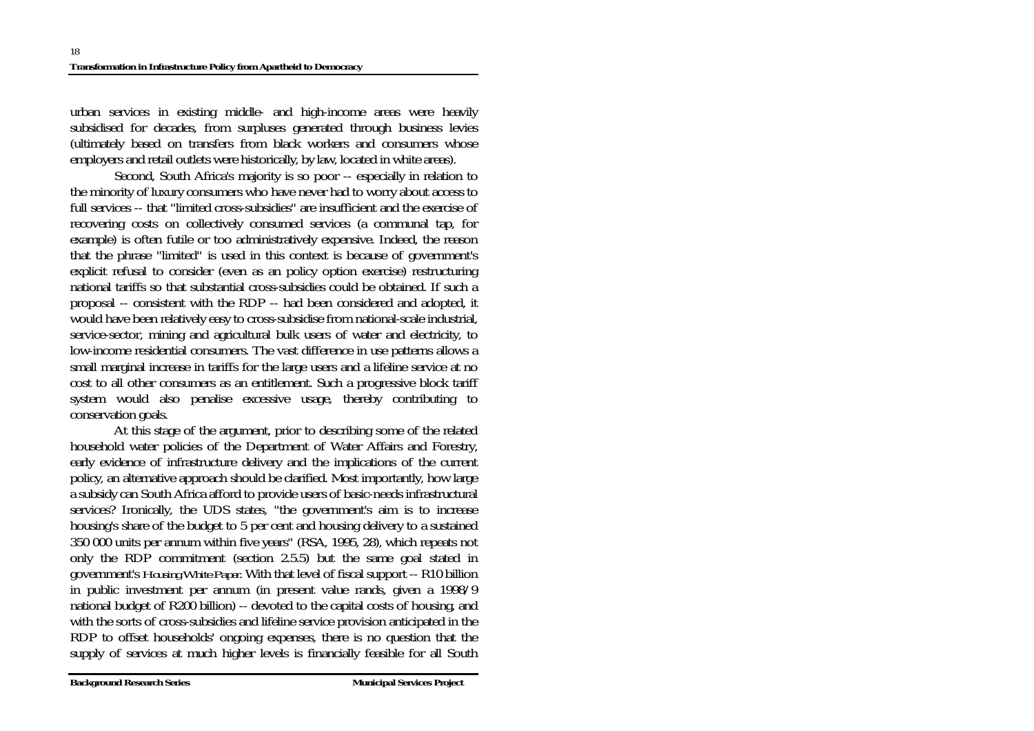urban services in existing middle- and high-income areas were heavily subsidised for decades, from surpluses generated through business levies (ultimately based on transfers from black workers and consumers whose employers and retail outlets were historically, by law, located in white areas).

 Second, South Africa's majority is so poor -- especially in relation to the minority of luxury consumers who have never had to worry about access to full services -- that "limited cross-subsidies" are insufficient and the exercise of recovering costs on collectively consumed services (a communal tap, for example) is often futile or too administratively expensive. Indeed, the reason that the phrase "limited" is used in this context is because of government's explicit refusal to consider (even as an policy option exercise) restructuring national tariffs so that substantial cross-subsidies could be obtained. If such a proposal -- consistent with the RDP -- had been considered and adopted, it would have been relatively easy to cross-subsidise from national-scale industrial, service-sector, mining and agricultural bulk users of water and electricity, to low-income residential consumers. The vast difference in use patterns allows a small marginal increase in tariffs for the large users and a lifeline service at no cost to all other consumers as an entitlement. Such a progressive block tariff system would also penalise excessive usage, thereby contributing to conservation goals.

 At this stage of the argument, prior to describing some of the related household water policies of the Department of Water Affairs and Forestry, early evidence of infrastructure delivery and the implications of the current policy, an alternative approach should be clarified. Most importantly, how large a subsidy can South Africa afford to provide users of basic-needs infrastructural services? Ironically, the UDS states, "the government's aim is to increase housing's share of the budget to 5 per cent and housing delivery to a sustained 350 000 units per annum within five years" (RSA, 1995, 28), which repeats not only the RDP commitment (section 2.5.5) but the same goal stated in government's *Housing White Paper*. With that level of fiscal support -- R10 billion in public investment per annum (in present value rands, given a 1998/9 national budget of R200 billion) -- devoted to the capital costs of housing, and with the sorts of cross-subsidies and lifeline service provision anticipated in the RDP to offset households' ongoing expenses, there is no question that the supply of services at much higher levels is financially feasible for all South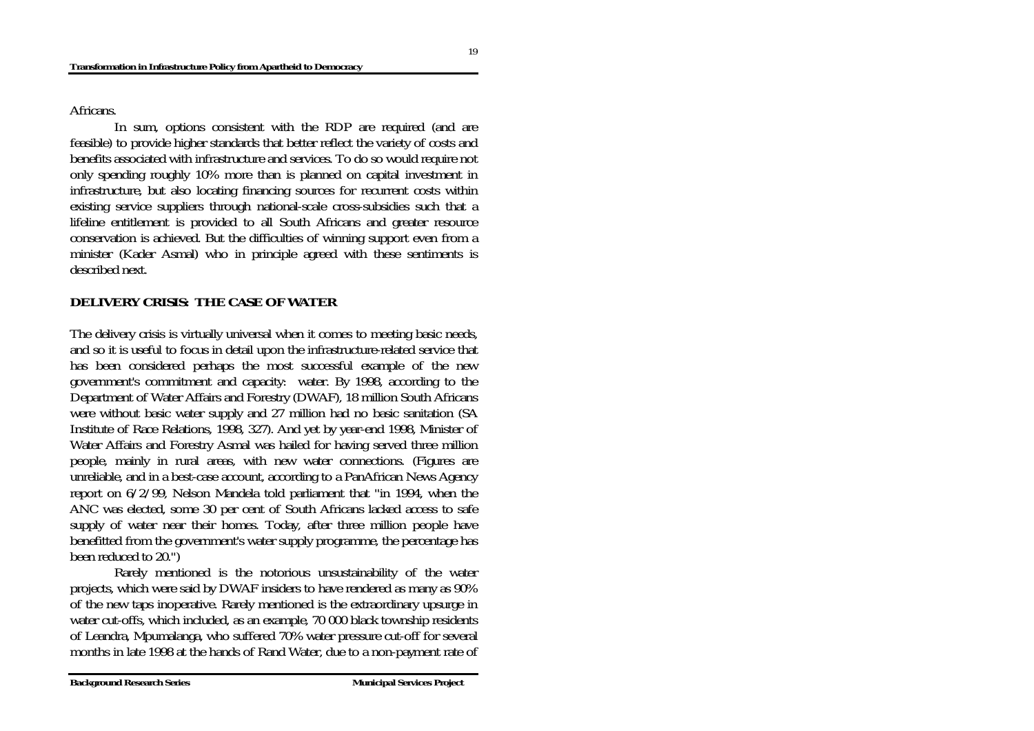Africans.

 In sum, options consistent with the RDP are required (and are feasible) to provide higher standards that better reflect the variety of costs and benefits associated with infrastructure and services. To do so would require not only spending roughly 10% more than is planned on capital investment in infrastructure, but also locating financing sources for recurrent costs within existing service suppliers through national-scale cross-subsidies such that a lifeline entitlement is provided to all South Africans and greater resource conservation is achieved. But the difficulties of winning support even from a minister (Kader Asmal) who in principle agreed with these sentiments is described next.

### **DELIVERY CRISIS: THE CASE OF WATER**

The delivery crisis is virtually universal when it comes to meeting basic needs, and so it is useful to focus in detail upon the infrastructure-related service that has been considered perhaps the most successful example of the new government's commitment and capacity: water. By 1998, according to the Department of Water Affairs and Forestry (DWAF), 18 million South Africans were without basic water supply and 27 million had no basic sanitation (SA Institute of Race Relations, 1998, 327). And yet by year-end 1998, Minister of Water Affairs and Forestry Asmal was hailed for having served three million people, mainly in rural areas, with new water connections. (Figures are unreliable, and in a best-case account, according to a PanAfrican News Agency report on 6/2/99, Nelson Mandela told parliament that "in 1994, when the ANC was elected, some 30 per cent of South Africans lacked access to safe supply of water near their homes. Today, after three million people have benefitted from the government's water supply programme, the percentage has been reduced to 20.")

 Rarely mentioned is the notorious unsustainability of the water projects, which were said by DWAF insiders to have rendered as many as 90% of the new taps inoperative. Rarely mentioned is the extraordinary upsurge in water cut-offs, which included, as an example, 70 000 black township residents of Leandra, Mpumalanga, who suffered 70% water pressure cut-off for several months in late 1998 at the hands of Rand Water, due to a non-payment rate of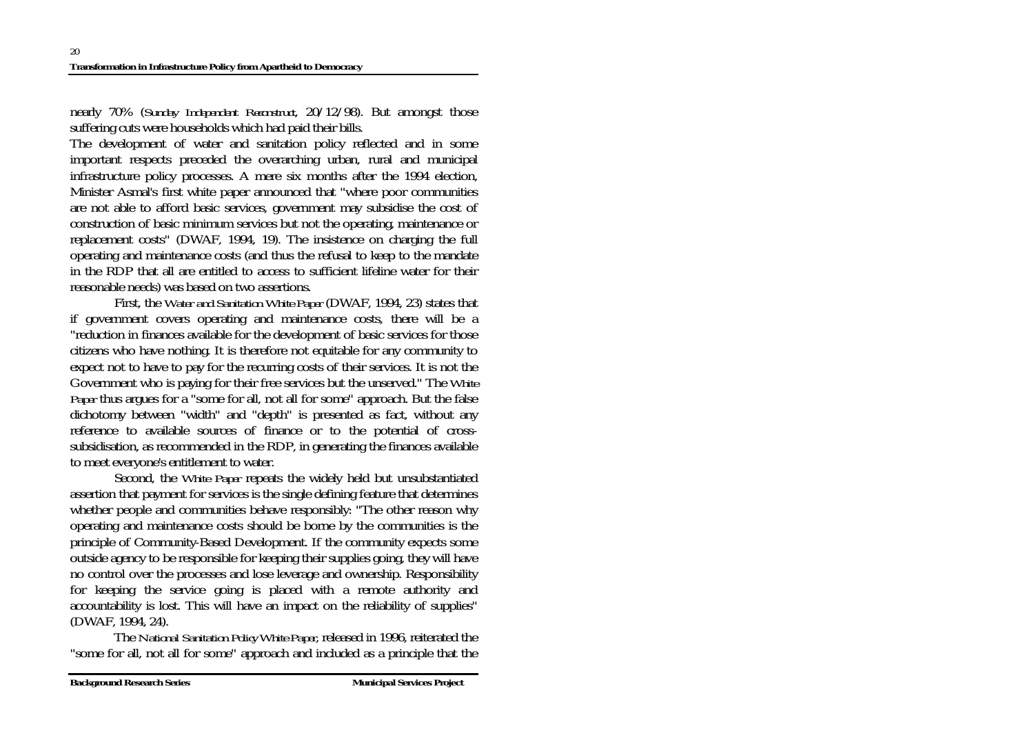nearly 70% (*Sunday Independent Reconstruct*, 20/12/98). But amongst those suffering cuts were households which had paid their bills.

The development of water and sanitation policy reflected and in some important respects preceded the overarching urban, rural and municipal infrastructure policy processes. A mere six months after the 1994 election, Minister Asmal's first white paper announced that "where poor communities are not able to afford basic services, government may subsidise the cost of construction of basic minimum services but not the operating, maintenance or replacement costs" (DWAF, 1994, 19). The insistence on charging the full operating and maintenance costs (and thus the refusal to keep to the mandate in the RDP that all are entitled to access to sufficient lifeline water for their reasonable needs) was based on two assertions.

 First, the *Water and Sanitation White Paper* (DWAF, 1994, 23) states that if government covers operating and maintenance costs, there will be a "reduction in finances available for the development of basic services for those citizens who have nothing. It is therefore not equitable for any community to expect not to have to pay for the recurring costs of their services. It is not the Government who is paying for their free services but the unserved." The *White Paper* thus argues for a "some for all, not all for some" approach. But the false dichotomy between "width" and "depth" is presented as fact, without any reference to available sources of finance or to the potential of crosssubsidisation, as recommended in the RDP, in generating the finances available to meet everyone's entitlement to water.

 Second, the *White Paper* repeats the widely held but unsubstantiated assertion that payment for services is the single defining feature that determines whether people and communities behave responsibly: "The other reason why operating and maintenance costs should be borne by the communities is the principle of Community-Based Development. If the community expects some outside agency to be responsible for keeping their supplies going, they will have no control over the processes and lose leverage and ownership. Responsibility for keeping the service going is placed with a remote authority and accountability is lost. This will have an impact on the reliability of supplies" (DWAF, 1994, 24).

 The *National Sanitation Policy White Paper*, released in 1996, reiterated the "some for all, not all for some" approach and included as a principle that the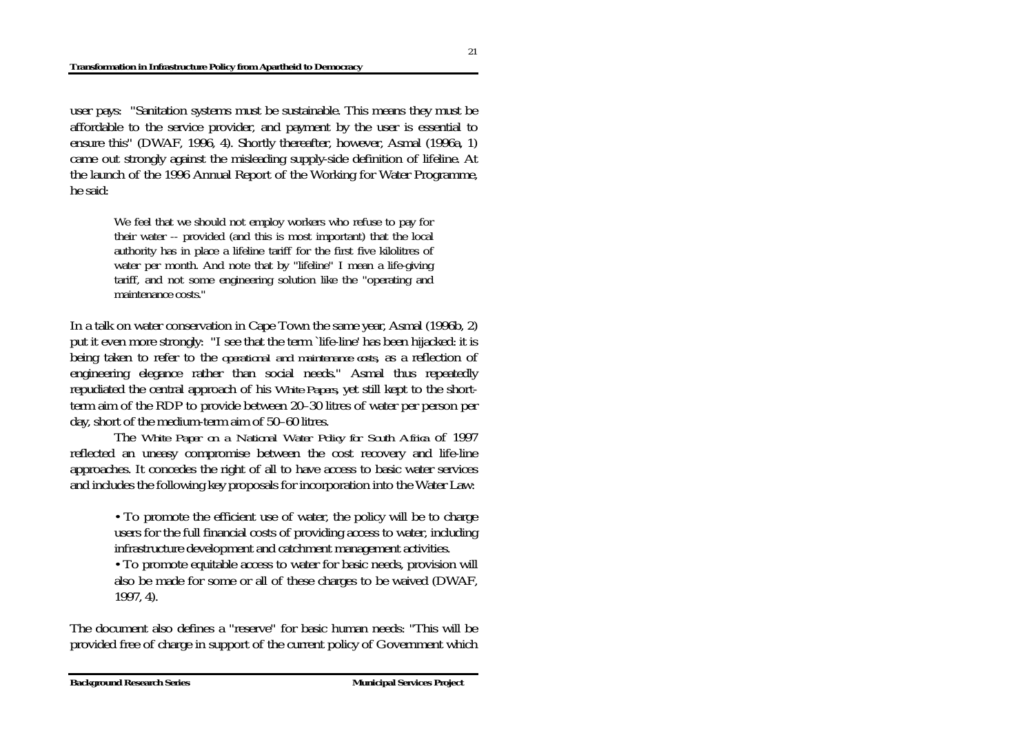user pays: "Sanitation systems must be sustainable. This means they must be affordable to the service provider, and payment by the user is essential to ensure this" (DWAF, 1996, 4). Shortly thereafter, however, Asmal (1996a, 1) came out strongly against the misleading supply-side definition of lifeline. At the launch of the 1996 Annual Report of the Working for Water Programme, he said:

> We feel that we should not employ workers who refuse to pay for their water -- provided (and this is most important) that the local authority has in place a lifeline tariff for the first five kilolitres of water per month. And note that by "lifeline" I mean a life-giving tariff, and not some engineering solution like the "operating and maintenance costs."

In a talk on water conservation in Cape Town the same year, Asmal (1996b, 2) put it even more strongly: "I see that the term `life-line' has been hijacked: it is being taken to refer to the *operational and maintenance costs*, as a reflection of engineering elegance rather than social needs." Asmal thus repeatedly repudiated the central approach of his *White Papers*, yet still kept to the shortterm aim of the RDP to provide between 20–30 litres of water per person per day, short of the medium-term aim of 50–60 litres.

 The *White Paper on a National Water Policy for South Africa* of 1997 reflected an uneasy compromise between the cost recovery and life-line approaches. It concedes the right of all to have access to basic water services and includes the following key proposals for incorporation into the Water Law:

> • To promote the efficient use of water, the policy will be to charge users for the full financial costs of providing access to water, including infrastructure development and catchment management activities.

> • To promote equitable access to water for basic needs, provision will also be made for some or all of these charges to be waived (DWAF, 1997, 4).

The document also defines a "reserve" for basic human needs: "This will be provided free of charge in support of the current policy of Government which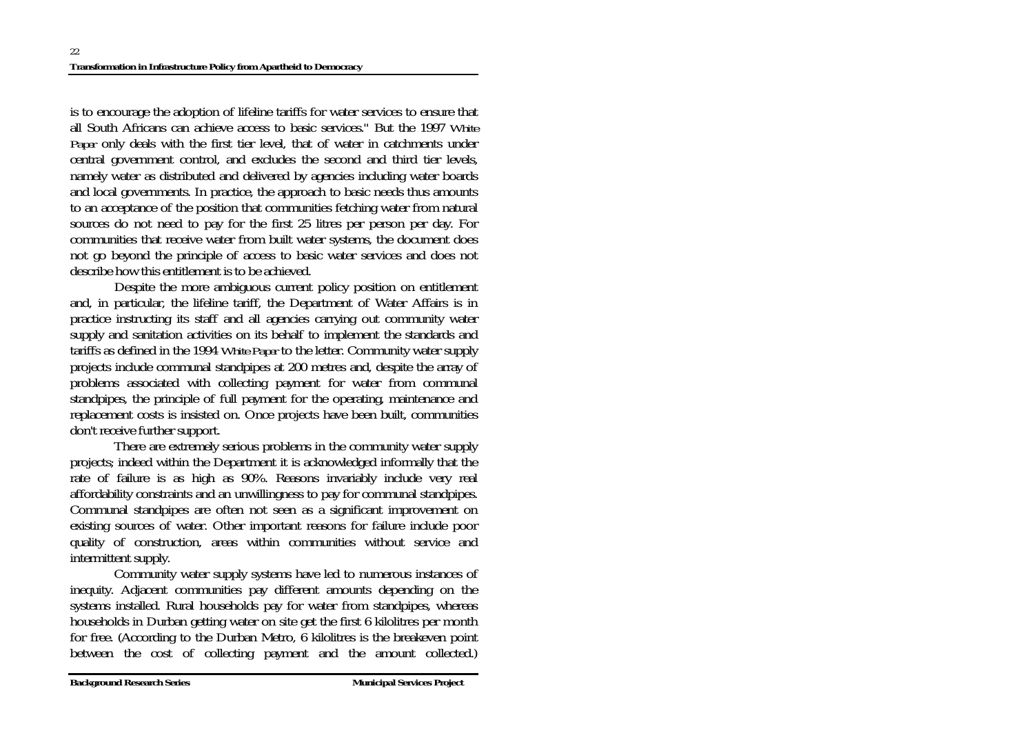is to encourage the adoption of lifeline tariffs for water services to ensure that all South Africans can achieve access to basic services." But the 1997 *White Paper* only deals with the first tier level, that of water in catchments under central government control, and excludes the second and third tier levels, namely water as distributed and delivered by agencies including water boards and local governments. In practice, the approach to basic needs thus amounts to an acceptance of the position that communities fetching water from natural sources do not need to pay for the first 25 litres per person per day. For communities that receive water from built water systems, the document does not go beyond the principle of access to basic water services and does not describe how this entitlement is to be achieved.

 Despite the more ambiguous current policy position on entitlement and, in particular, the lifeline tariff, the Department of Water Affairs is in practice instructing its staff and all agencies carrying out community water supply and sanitation activities on its behalf to implement the standards and tariffs as defined in the 1994 *White Paper* to the letter. Community water supply projects include communal standpipes at 200 metres and, despite the array of problems associated with collecting payment for water from communal standpipes, the principle of full payment for the operating, maintenance and replacement costs is insisted on. Once projects have been built, communities don't receive further support.

 There are extremely serious problems in the community water supply projects; indeed within the Department it is acknowledged informally that the rate of failure is as high as 90%. Reasons invariably include very real affordability constraints and an unwillingness to pay for communal standpipes. Communal standpipes are often not seen as a significant improvement on existing sources of water. Other important reasons for failure include poor quality of construction, areas within communities without service and intermittent supply.

 Community water supply systems have led to numerous instances of inequity. Adjacent communities pay different amounts depending on the systems installed. Rural households pay for water from standpipes, whereas households in Durban getting water on site get the first 6 kilolitres per month for free. (According to the Durban Metro, 6 kilolitres is the breakeven point between the cost of collecting payment and the amount collected.)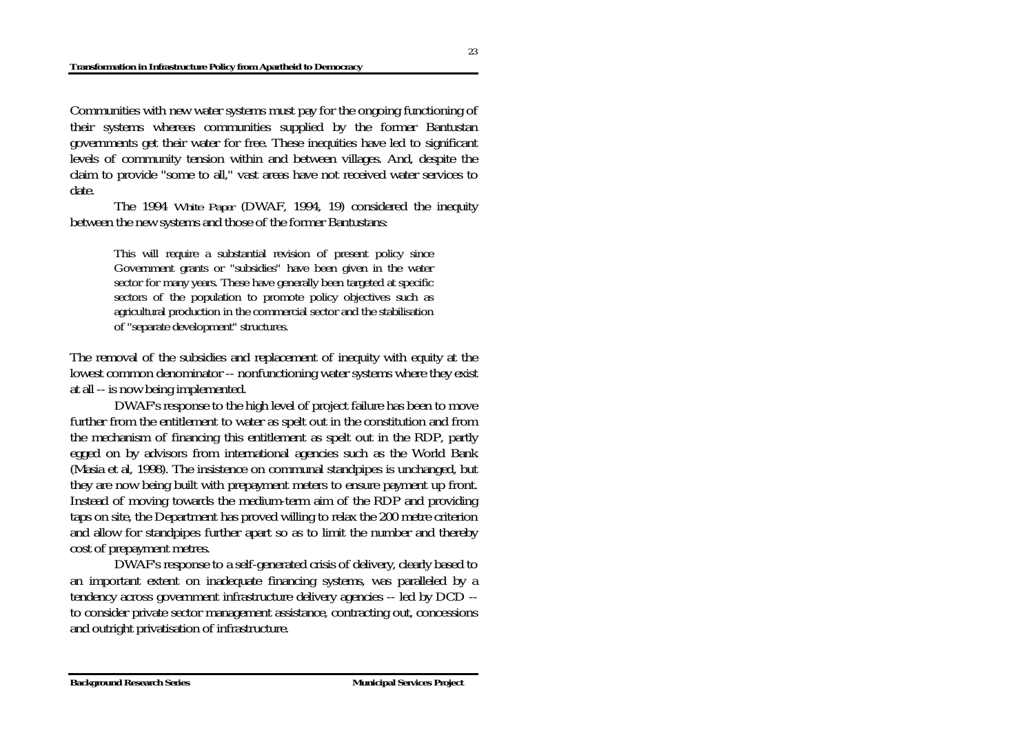Communities with new water systems must pay for the ongoing functioning of their systems whereas communities supplied by the former Bantustan governments get their water for free. These inequities have led to significant levels of community tension within and between villages. And, despite the claim to provide "some to all," vast areas have not received water services to date.

 The 1994 *White Paper* (DWAF, 1994, 19) considered the inequity between the new systems and those of the former Bantustans:

> This will require a substantial revision of present policy since Government grants or "subsidies" have been given in the water sector for many years. These have generally been targeted at specific sectors of the population to promote policy objectives such as agricultural production in the commercial sector and the stabilisation of "separate development" structures.

The removal of the subsidies and replacement of inequity with equity at the lowest common denominator -- nonfunctioning water systems where they exist at all -- is now being implemented.

 DWAF's response to the high level of project failure has been to move further from the entitlement to water as spelt out in the constitution and from the mechanism of financing this entitlement as spelt out in the RDP, partly egged on by advisors from international agencies such as the World Bank (Masia et al, 1998). The insistence on communal standpipes is unchanged, but they are now being built with prepayment meters to ensure payment up front. Instead of moving towards the medium-term aim of the RDP and providing taps on site, the Department has proved willing to relax the 200 metre criterion and allow for standpipes further apart so as to limit the number and thereby cost of prepayment metres.

 DWAF's response to a self-generated crisis of delivery, clearly based to an important extent on inadequate financing systems, was paralleled by a tendency across government infrastructure delivery agencies -- led by DCD - to consider private sector management assistance, contracting out, concessions and outright privatisation of infrastructure.

23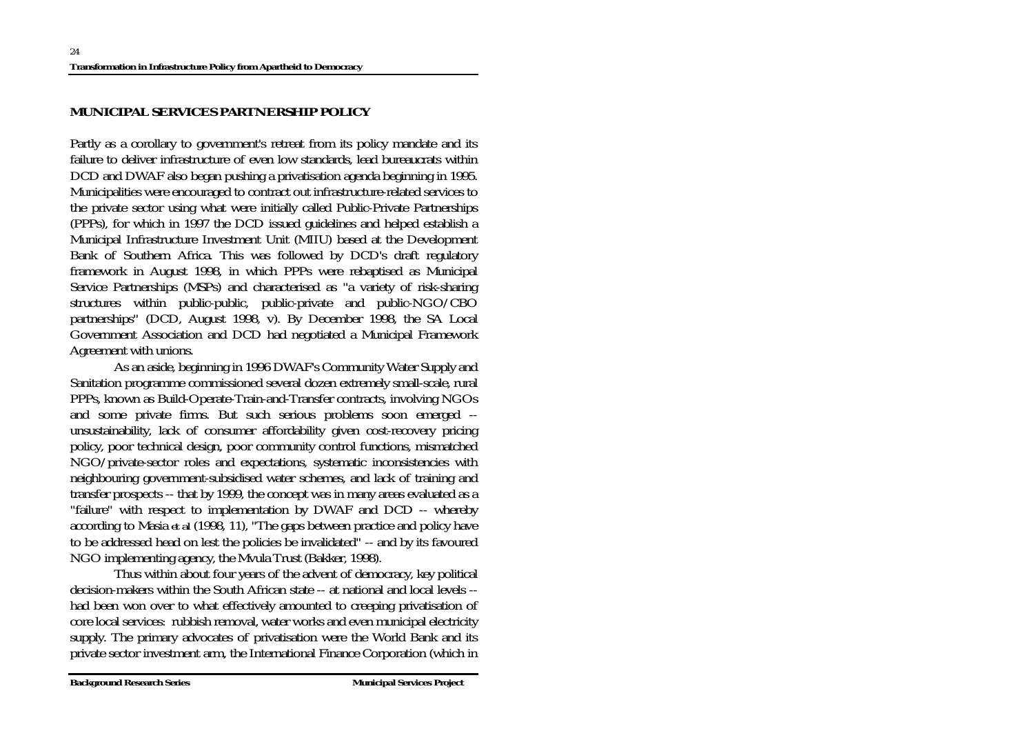#### **MUNICIPAL SERVICES PARTNERSHIP POLICY**

Partly as a corollary to government's retreat from its policy mandate and its failure to deliver infrastructure of even low standards, lead bureaucrats within DCD and DWAF also began pushing a privatisation agenda beginning in 1995. Municipalities were encouraged to contract out infrastructure-related services to the private sector using what were initially called Public-Private Partnerships (PPPs), for which in 1997 the DCD issued guidelines and helped establish a Municipal Infrastructure Investment Unit (MIIU) based at the Development Bank of Southern Africa. This was followed by DCD's draft regulatory framework in August 1998, in which PPPs were rebaptised as Municipal Service Partnerships (MSPs) and characterised as "a variety of risk-sharing structures within public-public, public-private and public-NGO/CBO partnerships" (DCD, August 1998, v). By December 1998, the SA Local Government Association and DCD had negotiated a Municipal Framework Agreement with unions.

 As an aside, beginning in 1996 DWAF's Community Water Supply and Sanitation programme commissioned several dozen extremely small-scale, rural PPPs, known as Build-Operate-Train-and-Transfer contracts, involving NGOs and some private firms. But such serious problems soon emerged - unsustainability, lack of consumer affordability given cost-recovery pricing policy, poor technical design, poor community control functions, mismatched NGO/private-sector roles and expectations, systematic inconsistencies with neighbouring government-subsidised water schemes, and lack of training and transfer prospects -- that by 1999, the concept was in many areas evaluated as a "failure" with respect to implementation by DWAF and DCD -- whereby according to Masia *et al* (1998, 11), "The gaps between practice and policy have to be addressed head on lest the policies be invalidated" -- and by its favoured NGO implementing agency, the Mvula Trust (Bakker, 1998).

 Thus within about four years of the advent of democracy, key political decision-makers within the South African state -- at national and local levels - had been won over to what effectively amounted to creeping privatisation of core local services: rubbish removal, water works and even municipal electricity supply. The primary advocates of privatisation were the World Bank and its private sector investment arm, the International Finance Corporation (which in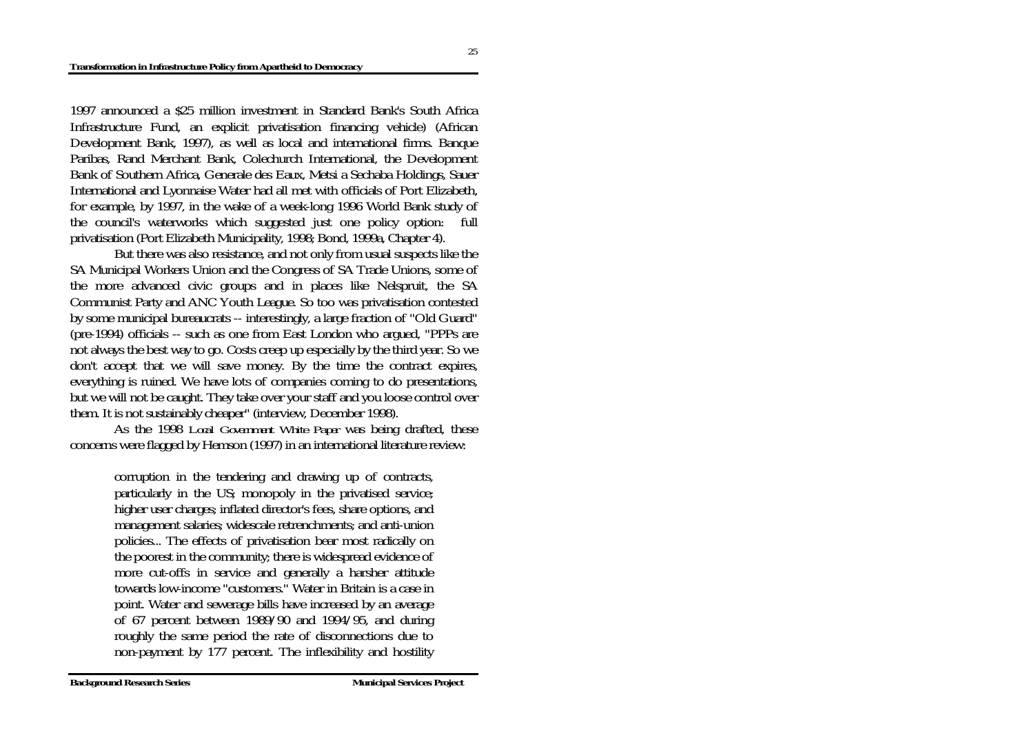1997 announced a \$25 million investment in Standard Bank's South Africa Infrastructure Fund, an explicit privatisation financing vehicle) (African Development Bank, 1997), as well as local and international firms. Banque Paribas, Rand Merchant Bank, Colechurch International, the Development Bank of Southern Africa, Generale des Eaux, Metsi a Sechaba Holdings, Sauer International and Lyonnaise Water had all met with officials of Port Elizabeth, for example, by 1997, in the wake of a week-long 1996 World Bank study of the council's waterworks which suggested just one policy option: full privatisation (Port Elizabeth Municipality, 1998; Bond, 1999a, Chapter 4).

 But there was also resistance, and not only from usual suspects like the SA Municipal Workers Union and the Congress of SA Trade Unions, some of the more advanced civic groups and in places like Nelspruit, the SA Communist Party and ANC Youth League. So too was privatisation contested by some municipal bureaucrats -- interestingly, a large fraction of "Old Guard" (pre-1994) officials -- such as one from East London who argued, "PPPs are not always the best way to go. Costs creep up especially by the third year. So we don't accept that we will save money. By the time the contract expires, everything is ruined. We have lots of companies coming to do presentations, but we will not be caught. They take over your staff and you loose control over them. It is not sustainably cheaper" (interview, December 1998).

 As the 1998 *Local Government White Paper* was being drafted, these concerns were flagged by Hemson (1997) in an international literature review:

> corruption in the tendering and drawing up of contracts, particularly in the US; monopoly in the privatised service; higher user charges; inflated director's fees, share options, and management salaries; widescale retrenchments; and anti-union policies... The effects of privatisation bear most radically on the poorest in the community; there is widespread evidence of more cut-offs in service and generally a harsher attitude towards low-income "customers." Water in Britain is a case in point. Water and sewerage bills have increased by an average of 67 percent between 1989/90 and 1994/95, and during roughly the same period the rate of disconnections due to non-payment by 177 percent. The inflexibility and hostility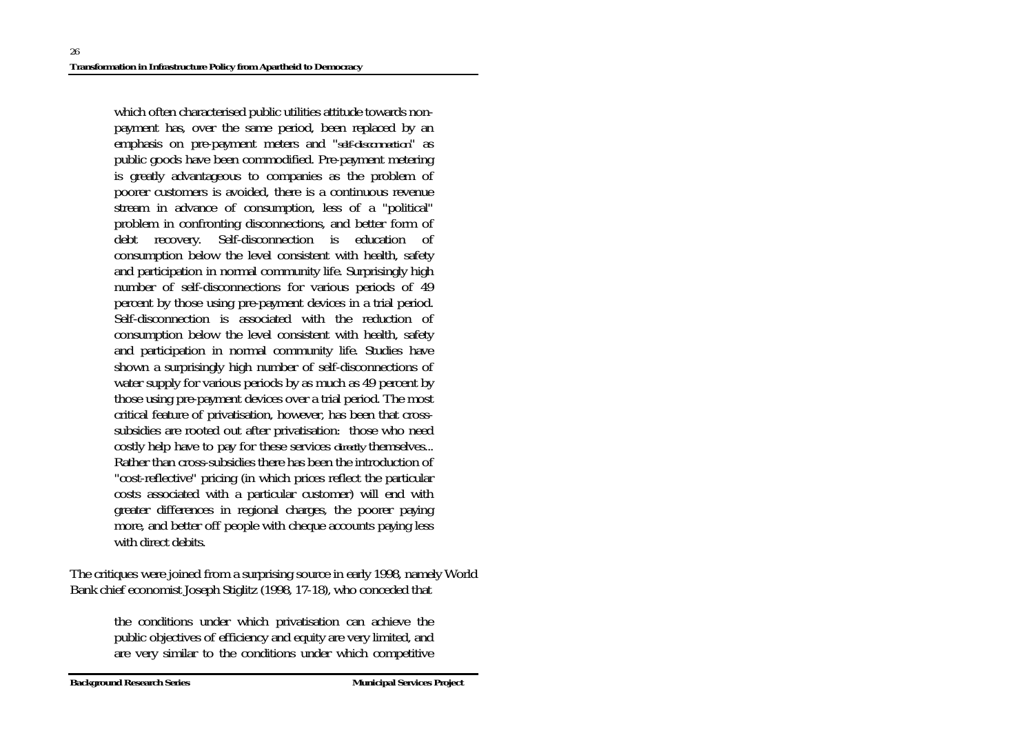which often characterised public utilities attitude towards nonpayment has, over the same period, been replaced by an emphasis on pre-payment meters and "*self-disconnection*" as public goods have been commodified. Pre-payment metering is greatly advantageous to companies as the problem of poorer customers is avoided, there is a continuous revenue stream in advance of consumption, less of a "political" problem in confronting disconnections, and better form of debt recovery. Self-disconnection is education of consumption below the level consistent with health, safety and participation in normal community life. Surprisingly high number of self-disconnections for various periods of 49 percent by those using pre-payment devices in a trial period. Self-disconnection is associated with the reduction of consumption below the level consistent with health, safety and participation in normal community life. Studies have shown a surprisingly high number of self-disconnections of water supply for various periods by as much as 49 percent by those using pre-payment devices over a trial period. The most critical feature of privatisation, however, has been that crosssubsidies are rooted out after privatisation: those who need costly help have to pay for these services *directly* themselves... Rather than cross-subsidies there has been the introduction of "cost-reflective" pricing (in which prices reflect the particular costs associated with a particular customer) will end with greater differences in regional charges, the poorer paying more, and better off people with cheque accounts paying less with direct debits.

The critiques were joined from a surprising source in early 1998, namely World Bank chief economist Joseph Stiglitz (1998, 17-18), who conceded that

> the conditions under which privatisation can achieve the public objectives of efficiency and equity are very limited, and are very similar to the conditions under which competitive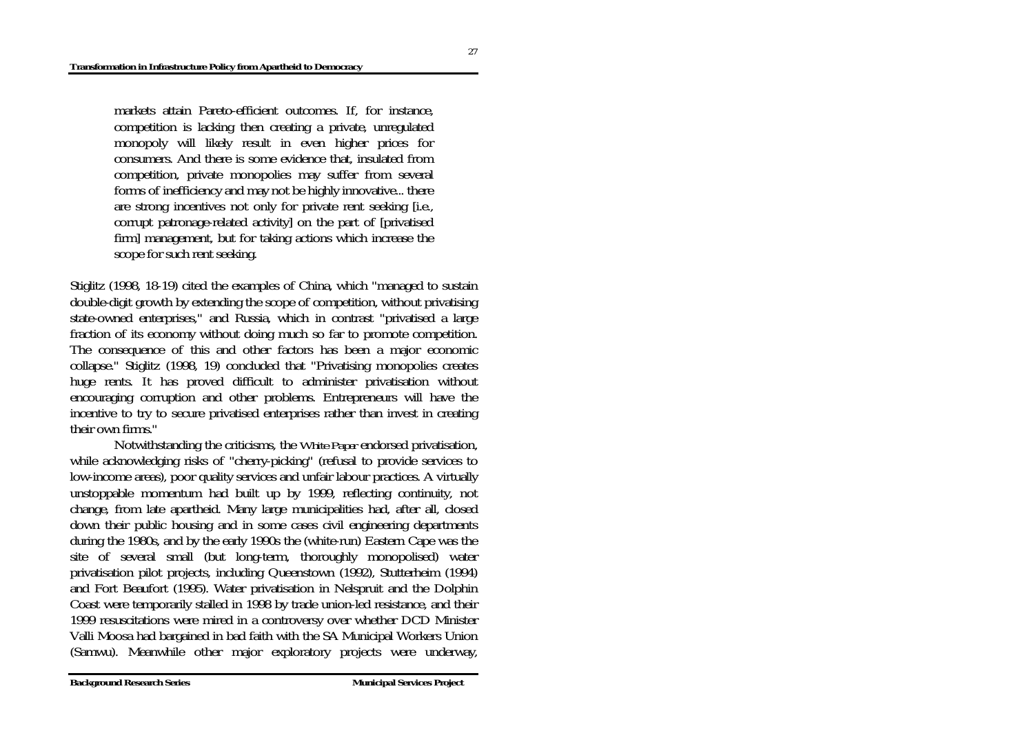markets attain Pareto-efficient outcomes. If, for instance, competition is lacking then creating a private, unregulated monopoly will likely result in even higher prices for consumers. And there is some evidence that, insulated from competition, private monopolies may suffer from several forms of inefficiency and may not be highly innovative... there are strong incentives not only for private rent seeking [i.e., corrupt patronage-related activity] on the part of [privatised firm] management, but for taking actions which increase the scope for such rent seeking.

Stiglitz (1998, 18-19) cited the examples of China, which "managed to sustain double-digit growth by extending the scope of competition, without privatising state-owned enterprises," and Russia, which in contrast "privatised a large fraction of its economy without doing much so far to promote competition. The consequence of this and other factors has been a major economic collapse." Stiglitz (1998, 19) concluded that "Privatising monopolies creates huge rents. It has proved difficult to administer privatisation without encouraging corruption and other problems. Entrepreneurs will have the incentive to try to secure privatised enterprises rather than invest in creating their own firms."

 Notwithstanding the criticisms, the *White Paper* endorsed privatisation, while acknowledging risks of "cherry-picking" (refusal to provide services to low-income areas), poor quality services and unfair labour practices. A virtually unstoppable momentum had built up by 1999, reflecting continuity, not change, from late apartheid. Many large municipalities had, after all, closed down their public housing and in some cases civil engineering departments during the 1980s, and by the early 1990s the (white-run) Eastern Cape was the site of several small (but long-term, thoroughly monopolised) water privatisation pilot projects, including Queenstown (1992), Stutterheim (1994) and Fort Beaufort (1995). Water privatisation in Nelspruit and the Dolphin Coast were temporarily stalled in 1998 by trade union-led resistance, and their 1999 resuscitations were mired in a controversy over whether DCD Minister Valli Moosa had bargained in bad faith with the SA Municipal Workers Union (Samwu). Meanwhile other major exploratory projects were underway,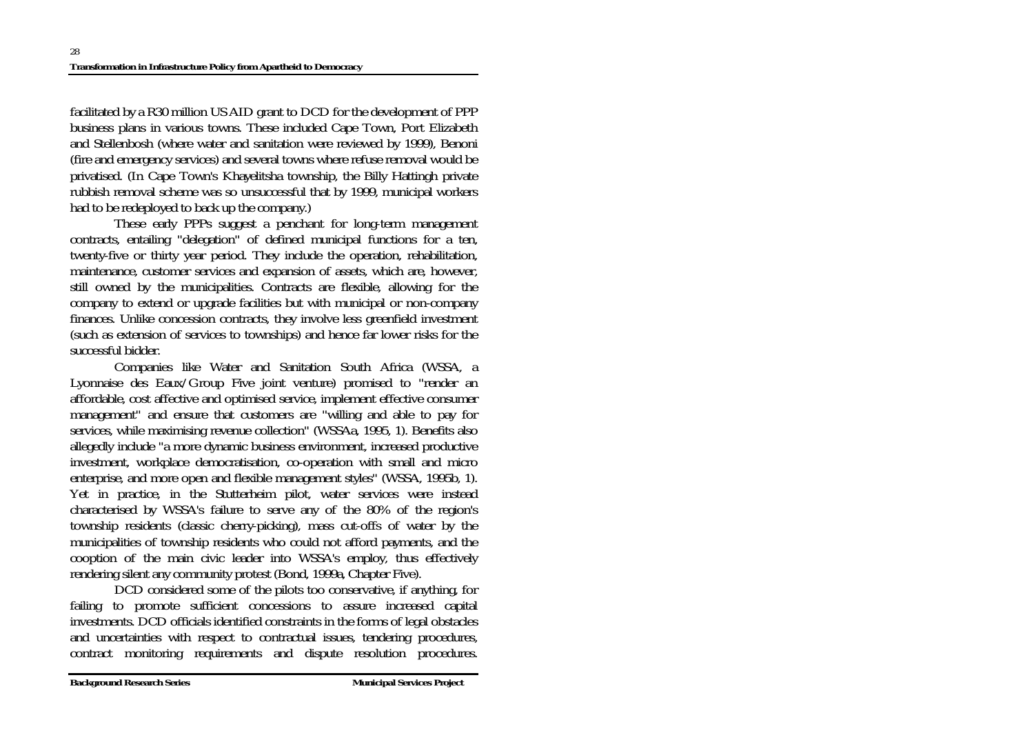facilitated by a R30 million US AID grant to DCD for the development of PPP business plans in various towns. These included Cape Town, Port Elizabeth and Stellenbosh (where water and sanitation were reviewed by 1999), Benoni (fire and emergency services) and several towns where refuse removal would be privatised. (In Cape Town's Khayelitsha township, the Billy Hattingh private rubbish removal scheme was so unsuccessful that by 1999, municipal workers had to be redeployed to back up the company.)

 These early PPPs suggest a penchant for long-term management contracts, entailing "delegation" of defined municipal functions for a ten, twenty-five or thirty year period. They include the operation, rehabilitation, maintenance, customer services and expansion of assets, which are, however, still owned by the municipalities. Contracts are flexible, allowing for the company to extend or upgrade facilities but with municipal or non-company finances. Unlike concession contracts, they involve less greenfield investment (such as extension of services to townships) and hence far lower risks for the successful bidder.

 Companies like Water and Sanitation South Africa (WSSA, a Lyonnaise des Eaux/Group Five joint venture) promised to "render an affordable, cost affective and optimised service, implement effective consumer management" and ensure that customers are "willing and able to pay for services, while maximising revenue collection" (WSSAa, 1995, 1). Benefits also allegedly include "a more dynamic business environment, increased productive investment, workplace democratisation, co-operation with small and micro enterprise, and more open and flexible management styles" (WSSA, 1995b, 1). Yet in practice, in the Stutterheim pilot, water services were instead characterised by WSSA's failure to serve any of the 80% of the region's township residents (classic cherry-picking), mass cut-offs of water by the municipalities of township residents who could not afford payments, and the cooption of the main civic leader into WSSA's employ, thus effectively rendering silent any community protest (Bond, 1999a, Chapter Five).

 DCD considered some of the pilots too conservative, if anything, for failing to promote sufficient concessions to assure increased capital investments. DCD officials identified constraints in the forms of legal obstacles and uncertainties with respect to contractual issues, tendering procedures, contract monitoring requirements and dispute resolution procedures.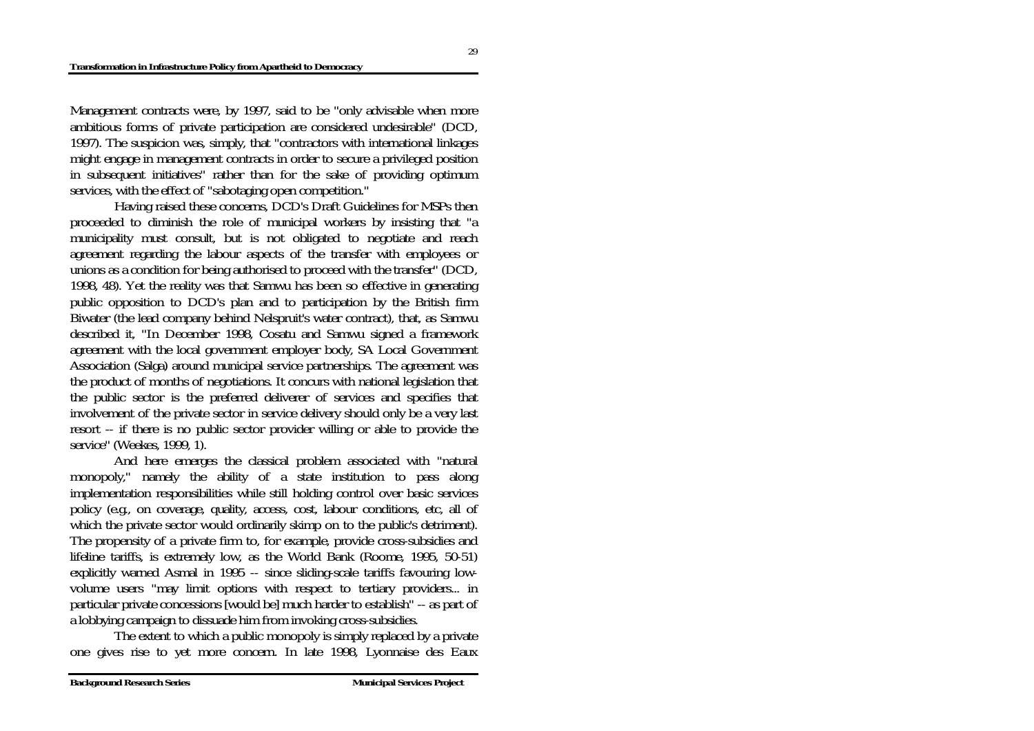Management contracts were, by 1997, said to be "only advisable when more ambitious forms of private participation are considered undesirable" (DCD, 1997). The suspicion was, simply, that "contractors with international linkages might engage in management contracts in order to secure a privileged position in subsequent initiatives" rather than for the sake of providing optimum services, with the effect of "sabotaging open competition."

 Having raised these concerns, DCD's Draft Guidelines for MSPs then proceeded to diminish the role of municipal workers by insisting that "a municipality must consult, but is not obligated to negotiate and reach agreement regarding the labour aspects of the transfer with employees or unions as a condition for being authorised to proceed with the transfer" (DCD, 1998, 48). Yet the reality was that Samwu has been so effective in generating public opposition to DCD's plan and to participation by the British firm Biwater (the lead company behind Nelspruit's water contract), that, as Samwu described it, "In December 1998, Cosatu and Samwu signed a framework agreement with the local government employer body, SA Local Government Association (Salga) around municipal service partnerships. The agreement was the product of months of negotiations. It concurs with national legislation that the public sector is the preferred deliverer of services and specifies that involvement of the private sector in service delivery should only be a very last resort -- if there is no public sector provider willing or able to provide the service" (Weekes, 1999, 1).

 And here emerges the classical problem associated with "natural monopoly," namely the ability of a state institution to pass along implementation responsibilities while still holding control over basic services policy (e.g., on coverage, quality, access, cost, labour conditions, etc, all of which the private sector would ordinarily skimp on to the public's detriment). The propensity of a private firm to, for example, provide cross-subsidies and lifeline tariffs, is extremely low, as the World Bank (Roome, 1995, 50-51) explicitly warned Asmal in 1995 -- since sliding-scale tariffs favouring lowvolume users "may limit options with respect to tertiary providers... in particular private concessions [would be] much harder to establish" -- as part of a lobbying campaign to dissuade him from invoking cross-subsidies.

 The extent to which a public monopoly is simply replaced by a private one gives rise to yet more concern. In late 1998, Lyonnaise des Eaux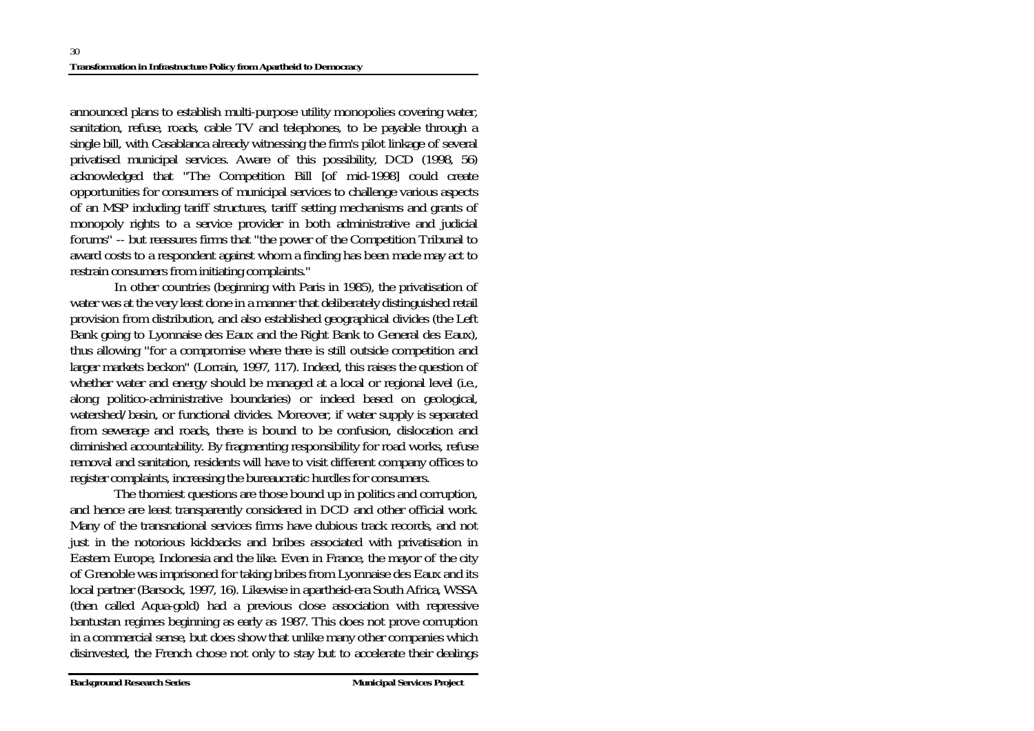announced plans to establish multi-purpose utility monopolies covering water, sanitation, refuse, roads, cable TV and telephones, to be payable through a single bill, with Casablanca already witnessing the firm's pilot linkage of several privatised municipal services. Aware of this possibility, DCD (1998, 56) acknowledged that "The Competition Bill [of mid-1998] could create opportunities for consumers of municipal services to challenge various aspects of an MSP including tariff structures, tariff setting mechanisms and grants of monopoly rights to a service provider in both administrative and judicial forums" -- but reassures firms that "the power of the Competition Tribunal to award costs to a respondent against whom a finding has been made may act to restrain consumers from initiating complaints."

 In other countries (beginning with Paris in 1985), the privatisation of water was at the very least done in a manner that deliberately distinguished retail provision from distribution, and also established geographical divides (the Left Bank going to Lyonnaise des Eaux and the Right Bank to General des Eaux), thus allowing "for a compromise where there is still outside competition and larger markets beckon" (Lorrain, 1997, 117). Indeed, this raises the question of whether water and energy should be managed at a local or regional level (i.e., along politico-administrative boundaries) or indeed based on geological, watershed/basin, or functional divides. Moreover, if water supply is separated from sewerage and roads, there is bound to be confusion, dislocation and diminished accountability. By fragmenting responsibility for road works, refuse removal and sanitation, residents will have to visit different company offices to register complaints, increasing the bureaucratic hurdles for consumers.

 The thorniest questions are those bound up in politics and corruption, and hence are least transparently considered in DCD and other official work. Many of the transnational services firms have dubious track records, and not just in the notorious kickbacks and bribes associated with privatisation in Eastern Europe, Indonesia and the like. Even in France, the mayor of the city of Grenoble was imprisoned for taking bribes from Lyonnaise des Eaux and its local partner (Barsock, 1997, 16). Likewise in apartheid-era South Africa, WSSA (then called Aqua-gold) had a previous close association with repressive bantustan regimes beginning as early as 1987. This does not prove corruption in a commercial sense, but does show that unlike many other companies which disinvested, the French chose not only to stay but to accelerate their dealings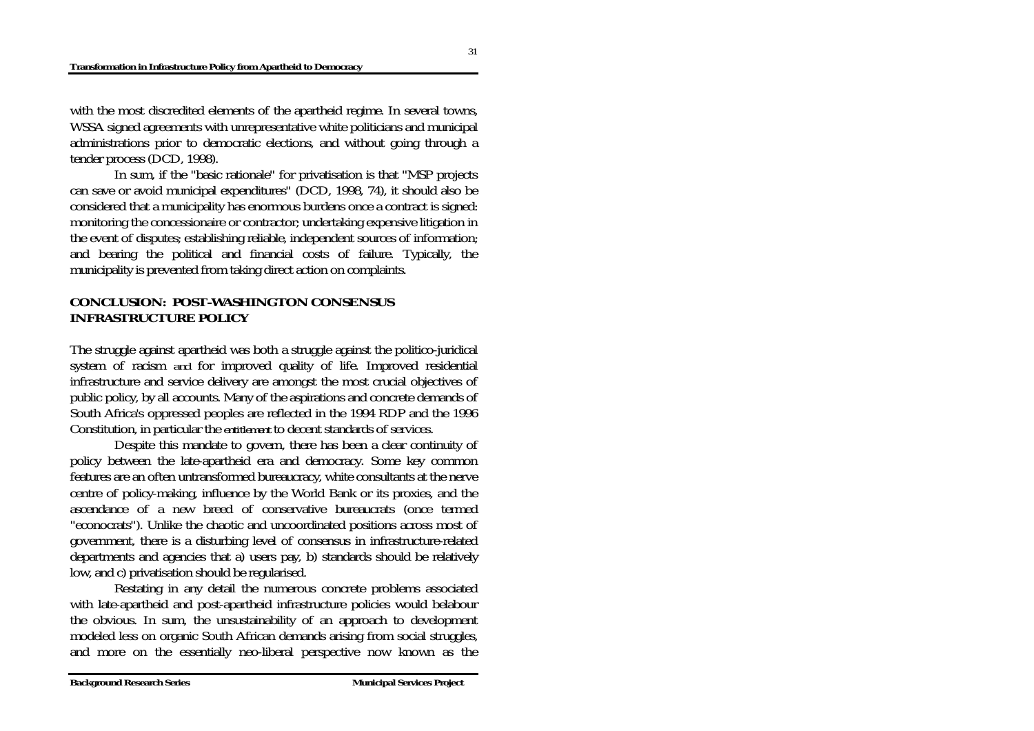with the most discredited elements of the apartheid regime. In several towns, WSSA signed agreements with unrepresentative white politicians and municipal administrations prior to democratic elections, and without going through a tender process (DCD, 1998).

 In sum, if the "basic rationale" for privatisation is that "MSP projects can save or avoid municipal expenditures" (DCD, 1998, 74), it should also be considered that a municipality has enormous burdens once a contract is signed: monitoring the concessionaire or contractor; undertaking expensive litigation in the event of disputes; establishing reliable, independent sources of information; and bearing the political and financial costs of failure. Typically, the municipality is prevented from taking direct action on complaints.

#### **CONCLUSION: POST-WASHINGTON CONSENSUS INFRASTRUCTURE POLICY**

The struggle against apartheid was both a struggle against the politico-juridical system of racism *and* for improved quality of life. Improved residential infrastructure and service delivery are amongst the most crucial objectives of public policy, by all accounts. Many of the aspirations and concrete demands of South Africa's oppressed peoples are reflected in the 1994 RDP and the 1996 Constitution, in particular the *entitlement* to decent standards of services.

 Despite this mandate to govern, there has been a clear continuity of policy between the late-apartheid era and democracy. Some key common features are an often untransformed bureaucracy, white consultants at the nerve centre of policy-making, influence by the World Bank or its proxies, and the ascendance of a new breed of conservative bureaucrats (once termed "econocrats"). Unlike the chaotic and uncoordinated positions across most of government, there is a disturbing level of consensus in infrastructure-related departments and agencies that a) users pay, b) standards should be relatively low, and c) privatisation should be regularised.

 Restating in any detail the numerous concrete problems associated with late-apartheid and post-apartheid infrastructure policies would belabour the obvious. In sum, the unsustainability of an approach to development modeled less on organic South African demands arising from social struggles, and more on the essentially neo-liberal perspective now known as the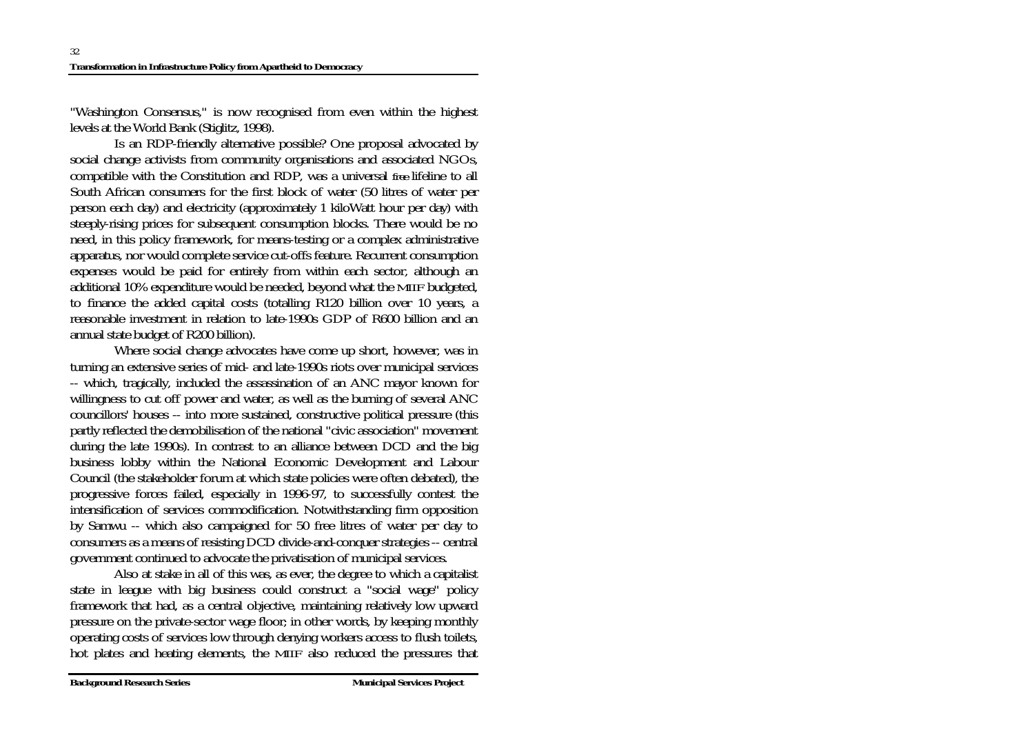"Washington Consensus," is now recognised from even within the highest levels at the World Bank (Stiglitz, 1998).

 Is an RDP-friendly alternative possible? One proposal advocated by social change activists from community organisations and associated NGOs, compatible with the Constitution and RDP, was a universal *free* lifeline to all South African consumers for the first block of water (50 litres of water per person each day) and electricity (approximately 1 kiloWatt hour per day) with steeply-rising prices for subsequent consumption blocks. There would be no need, in this policy framework, for means-testing or a complex administrative apparatus, nor would complete service cut-offs feature. Recurrent consumption expenses would be paid for entirely from within each sector, although an additional 10% expenditure would be needed, beyond what the *MIIF* budgeted, to finance the added capital costs (totalling R120 billion over 10 years, a reasonable investment in relation to late-1990s GDP of R600 billion and an annual state budget of R200 billion).

 Where social change advocates have come up short, however, was in turning an extensive series of mid- and late-1990s riots over municipal services -- which, tragically, included the assassination of an ANC mayor known for willingness to cut off power and water, as well as the burning of several ANC councillors' houses -- into more sustained, constructive political pressure (this partly reflected the demobilisation of the national "civic association" movement during the late 1990s). In contrast to an alliance between DCD and the big business lobby within the National Economic Development and Labour Council (the stakeholder forum at which state policies were often debated), the progressive forces failed, especially in 1996-97, to successfully contest the intensification of services commodification. Notwithstanding firm opposition by Samwu -- which also campaigned for 50 free litres of water per day to consumers as a means of resisting DCD divide-and-conquer strategies -- central government continued to advocate the privatisation of municipal services.

 Also at stake in all of this was, as ever, the degree to which a capitalist state in league with big business could construct a "social wage" policy framework that had, as a central objective, maintaining relatively low upward pressure on the private-sector wage floor; in other words, by keeping monthly operating costs of services low through denying workers access to flush toilets, hot plates and heating elements, the *MIIF* also reduced the pressures that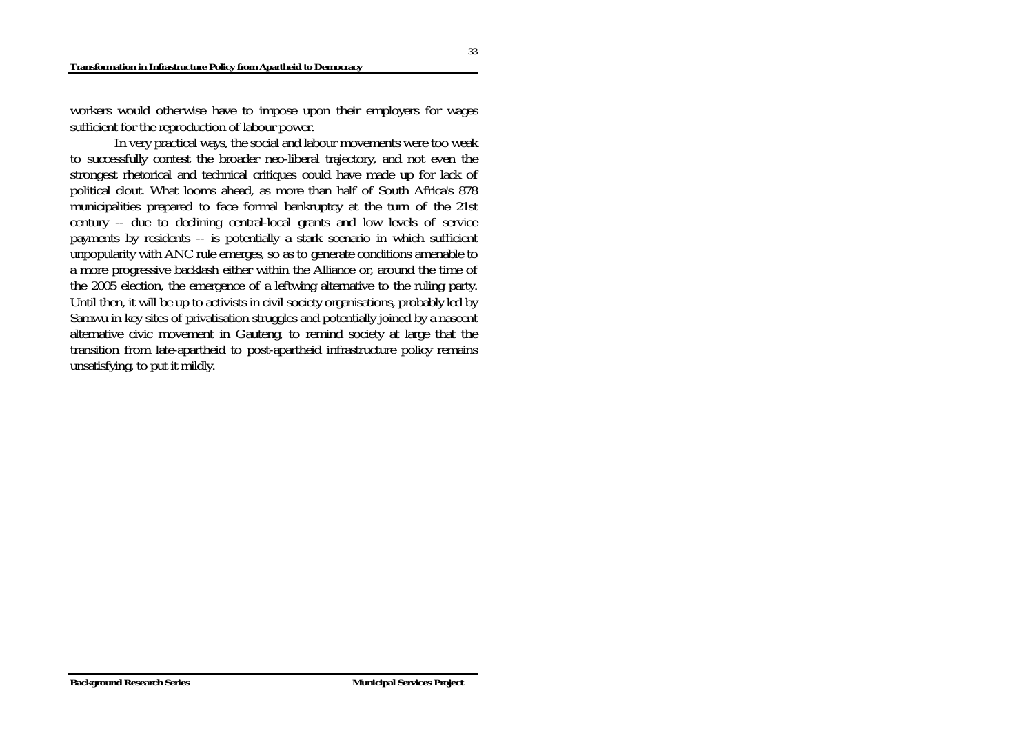#### **Transformation in Infrastructure Policy from Apartheid to Democracy**

workers would otherwise have to impose upon their employers for wages sufficient for the reproduction of labour power.

 In very practical ways, the social and labour movements were too weak to successfully contest the broader neo-liberal trajectory, and not even the strongest rhetorical and technical critiques could have made up for lack of political clout. What looms ahead, as more than half of South Africa's 878 municipalities prepared to face formal bankruptcy at the turn of the 21st century -- due to declining central-local grants and low levels of service payments by residents -- is potentially a stark scenario in which sufficient unpopularity with ANC rule emerges, so as to generate conditions amenable to a more progressive backlash either within the Alliance or, around the time of the 2005 election, the emergence of a leftwing alternative to the ruling party. Until then, it will be up to activists in civil society organisations, probably led by Samwu in key sites of privatisation struggles and potentially joined by a nascent alternative civic movement in Gauteng, to remind society at large that the transition from late-apartheid to post-apartheid infrastructure policy remains unsatisfying, to put it mildly.

33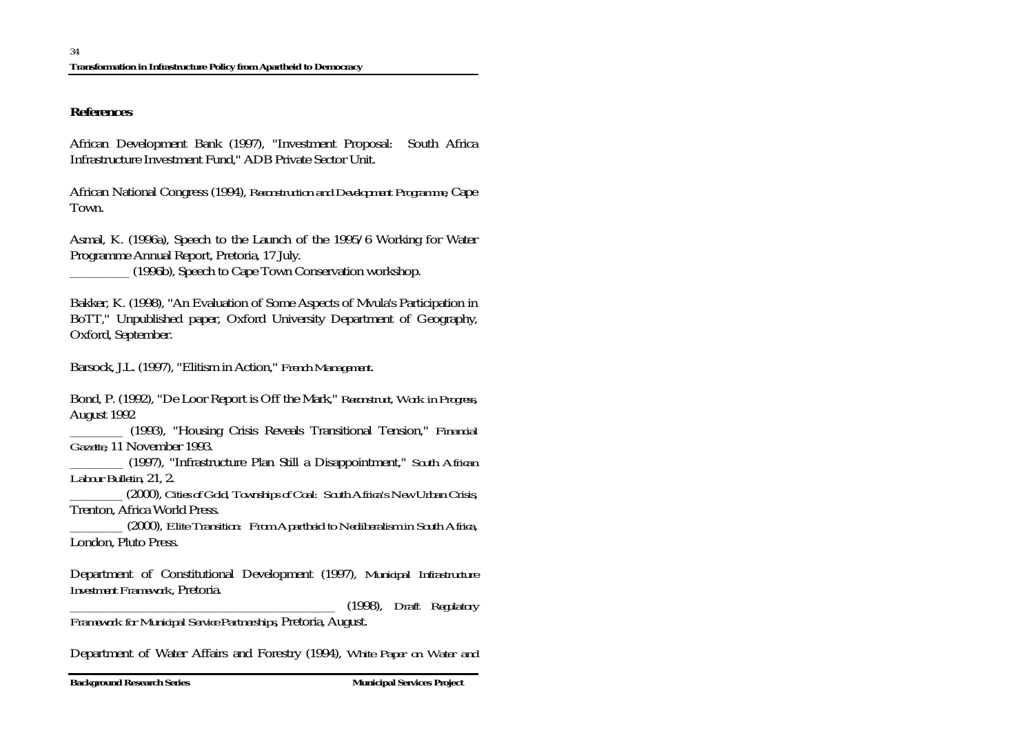#### **References**

African Development Bank (1997), "Investment Proposal: South Africa Infrastructure Investment Fund," ADB Private Sector Unit.

African National Congress (1994), *Reconstruction and Development Programme*, Cape Town.

Asmal, K. (1996a), Speech to the Launch of the 1995/6 Working for Water Programme Annual Report, Pretoria, 17 July.

\_\_\_\_\_\_\_\_\_ (1996b), Speech to Cape Town Conservation workshop.

Bakker, K. (1998), "An Evaluation of Some Aspects of Mvula's Participation in BoTT," Unpublished paper, Oxford University Department of Geography, Oxford, September.

Barsock, J.L. (1997), "Elitism in Action," *French Management*.

Bond, P. (1992), "De Loor Report is Off the Mark," *Reconstruct, Work in Progress*, August 1992

\_\_\_\_\_\_\_\_ (1993), "Housing Crisis Reveals Transitional Tension," *Financial Gazette*, 11 November 1993.

\_\_\_\_\_\_\_\_ (1997), "Infrastructure Plan Still a Disappointment," *South African Labour Bulletin*, 21, 2.

\_\_\_\_\_\_\_\_ (2000), *Cities of Gold, Townships of Coal: South Africa's New Urban Crisis*, Trenton, Africa World Press.

\_\_\_\_\_\_\_\_ (2000), *Elite Transition: From Apartheid to Neoliberalism in South Africa*, London, Pluto Press.

Department of Constitutional Development (1997), *Municipal Infrastructure Investment Framework*, Pretoria.

\_\_\_\_\_\_\_\_\_\_\_\_\_\_\_\_\_\_\_\_\_\_\_\_\_\_\_\_\_\_\_\_\_\_\_\_\_\_\_\_ (1998), *Draft Regulatory* 

*Framework for Municipal Service Partnerships*, Pretoria, August.

Department of Water Affairs and Forestry (1994), *White Paper on Water and*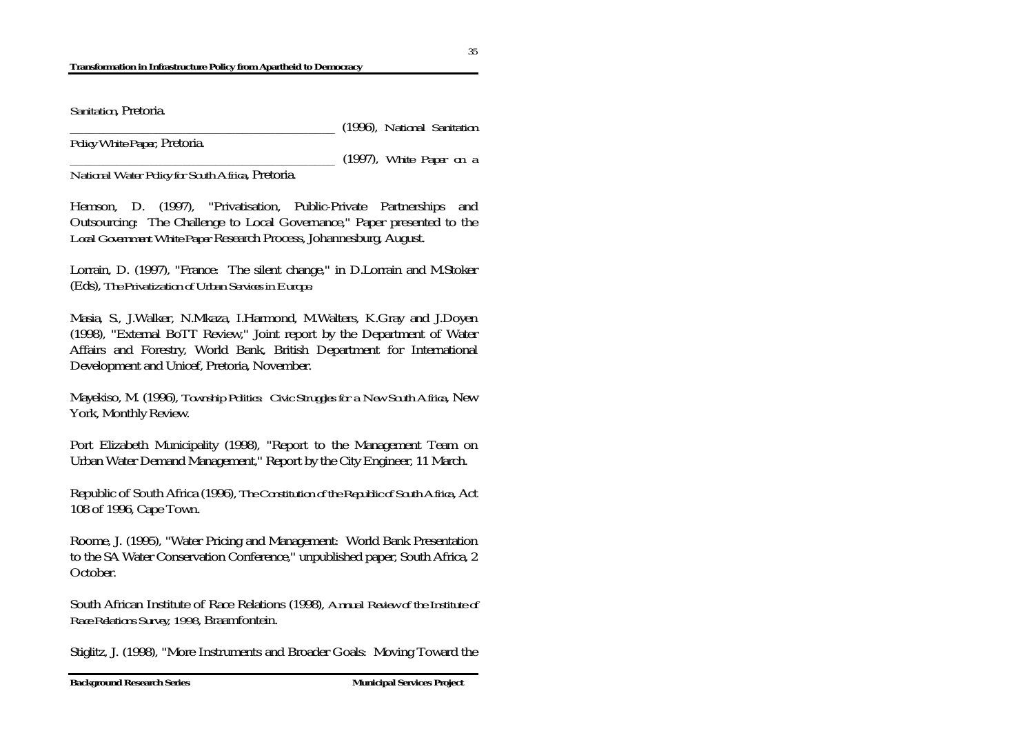**Transformation in Infrastructure Policy from Apartheid to Democracy** 

*Sanitation*, Pretoria.

\_\_\_\_\_\_\_\_\_\_\_\_\_\_\_\_\_\_\_\_\_\_\_\_\_\_\_\_\_\_\_\_\_\_\_\_\_\_\_\_ (1996), *National Sanitation* 

*Policy White Paper*, Pretoria.

\_\_\_\_\_\_\_\_\_\_\_\_\_\_\_\_\_\_\_\_\_\_\_\_\_\_\_\_\_\_\_\_\_\_\_\_\_\_\_\_ (1997), *White Paper on a* 

*National Water Policy for South Africa*, Pretoria.

Hemson, D. (1997), "Privatisation, Public-Private Partnerships and Outsourcing: The Challenge to Local Governance," Paper presented to the *Local Government White Paper* Research Process, Johannesburg, August.

Lorrain, D. (1997), "France: The silent change," in D.Lorrain and M.Stoker (Eds), *The Privatization of Urban Services in Europe*.

Masia, S., J.Walker, N.Mkaza, I.Harmond, M.Walters, K.Gray and J.Doyen (1998), "External BoTT Review," Joint report by the Department of Water Affairs and Forestry, World Bank, British Department for International Development and Unicef, Pretoria, November.

Mayekiso, M. (1996), *Township Politics: Civic Struggles for a New South Africa*, New York, Monthly Review.

Port Elizabeth Municipality (1998), "Report to the Management Team on Urban Water Demand Management," Report by the City Engineer, 11 March.

Republic of South Africa (1996), *The Constitution of the Republic of South Africa*, Act 108 of 1996, Cape Town.

Roome, J. (1995), "Water Pricing and Management: World Bank Presentation to the SA Water Conservation Conference," unpublished paper, South Africa, 2 October.

South African Institute of Race Relations (1998), *Annual Review of the Institute of Race Relations Survey, 1998*, Braamfontein.

Stiglitz, J. (1998), "More Instruments and Broader Goals: Moving Toward the